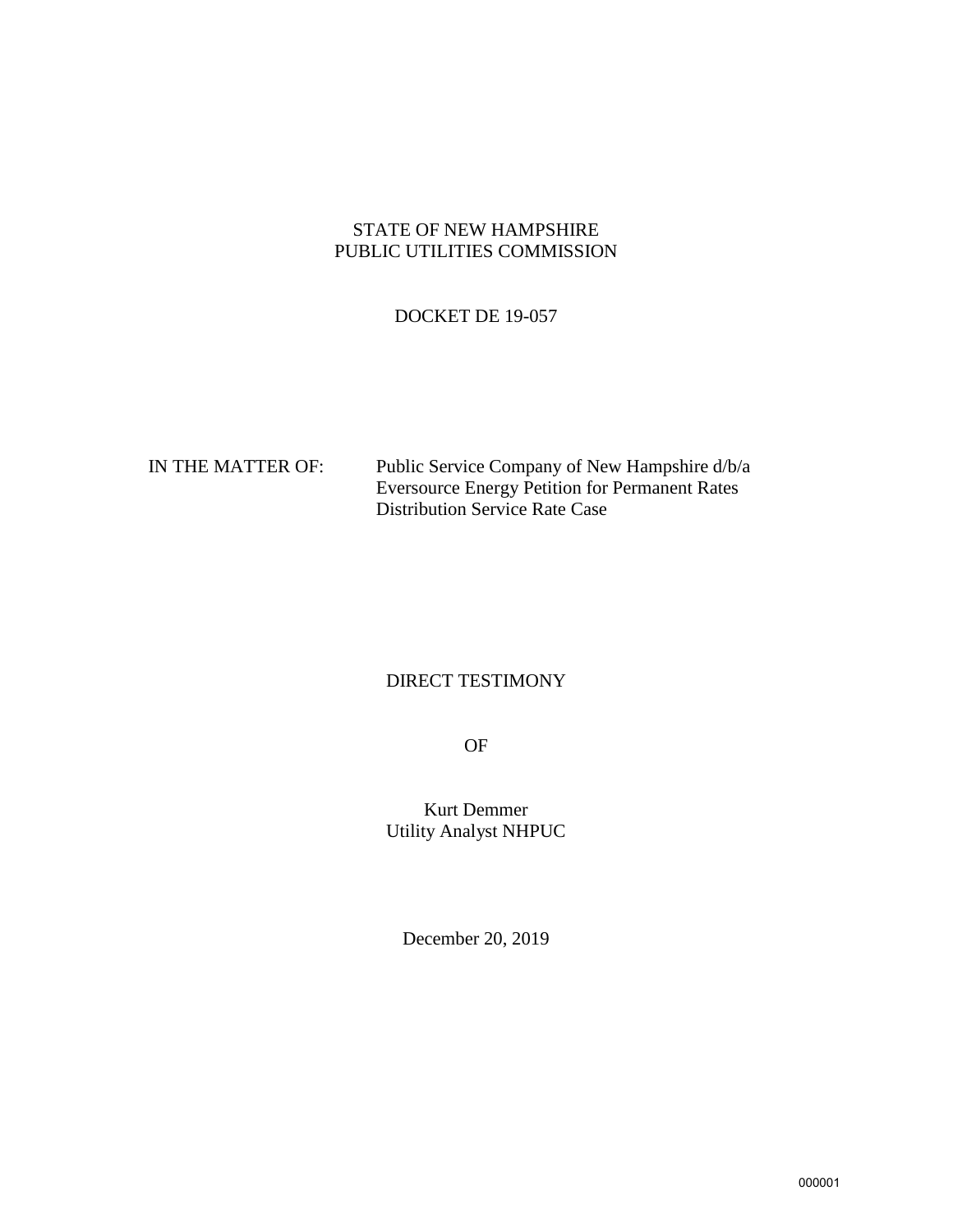## STATE OF NEW HAMPSHIRE PUBLIC UTILITIES COMMISSION

## DOCKET DE 19-057

| IN THE MATTER OF: | Public Service Company of New Hampshire d/b/a         |
|-------------------|-------------------------------------------------------|
|                   | <b>Eversource Energy Petition for Permanent Rates</b> |
|                   | <b>Distribution Service Rate Case</b>                 |

# DIRECT TESTIMONY

OF

Kurt Demmer Utility Analyst NHPUC

December 20, 2019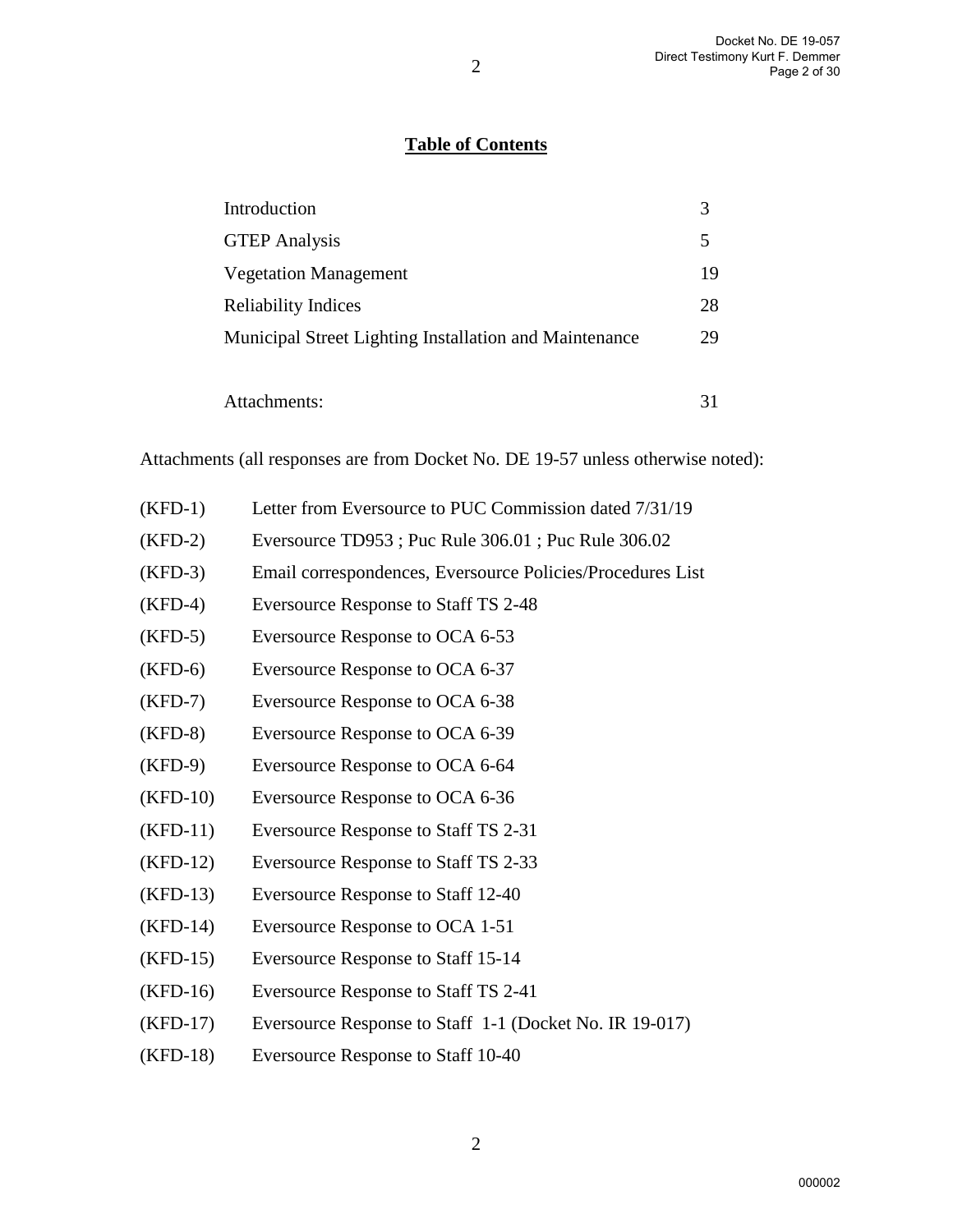# **Table of Contents**

| Introduction                                           | 3  |
|--------------------------------------------------------|----|
| <b>GTEP</b> Analysis                                   | 5  |
| <b>Vegetation Management</b>                           | 19 |
| <b>Reliability Indices</b>                             | 28 |
| Municipal Street Lighting Installation and Maintenance | 29 |
|                                                        |    |
| Attachments:                                           |    |

Attachments (all responses are from Docket No. DE 19-57 unless otherwise noted):

| $(KFD-1)$  | Letter from Eversource to PUC Commission dated 7/31/19     |
|------------|------------------------------------------------------------|
| $(KFD-2)$  | Eversource TD953; Puc Rule 306.01; Puc Rule 306.02         |
| $(KFD-3)$  | Email correspondences, Eversource Policies/Procedures List |
| $(KFD-4)$  | Eversource Response to Staff TS 2-48                       |
| $(KFD-5)$  | Eversource Response to OCA 6-53                            |
| $(KFD-6)$  | Eversource Response to OCA 6-37                            |
| $(KFD-7)$  | Eversource Response to OCA 6-38                            |
| $(KFD-8)$  | Eversource Response to OCA 6-39                            |
| $(KFD-9)$  | Eversource Response to OCA 6-64                            |
| $(KFD-10)$ | Eversource Response to OCA 6-36                            |
| $(KFD-11)$ | Eversource Response to Staff TS 2-31                       |
| $(KFD-12)$ | Eversource Response to Staff TS 2-33                       |
| $(KFD-13)$ | Eversource Response to Staff 12-40                         |
| $(KFD-14)$ | Eversource Response to OCA 1-51                            |
| $(KFD-15)$ | Eversource Response to Staff 15-14                         |
| $(KFD-16)$ | Eversource Response to Staff TS 2-41                       |
| $(KFD-17)$ | Eversource Response to Staff 1-1 (Docket No. IR 19-017)    |
| $(KFD-18)$ | Eversource Response to Staff 10-40                         |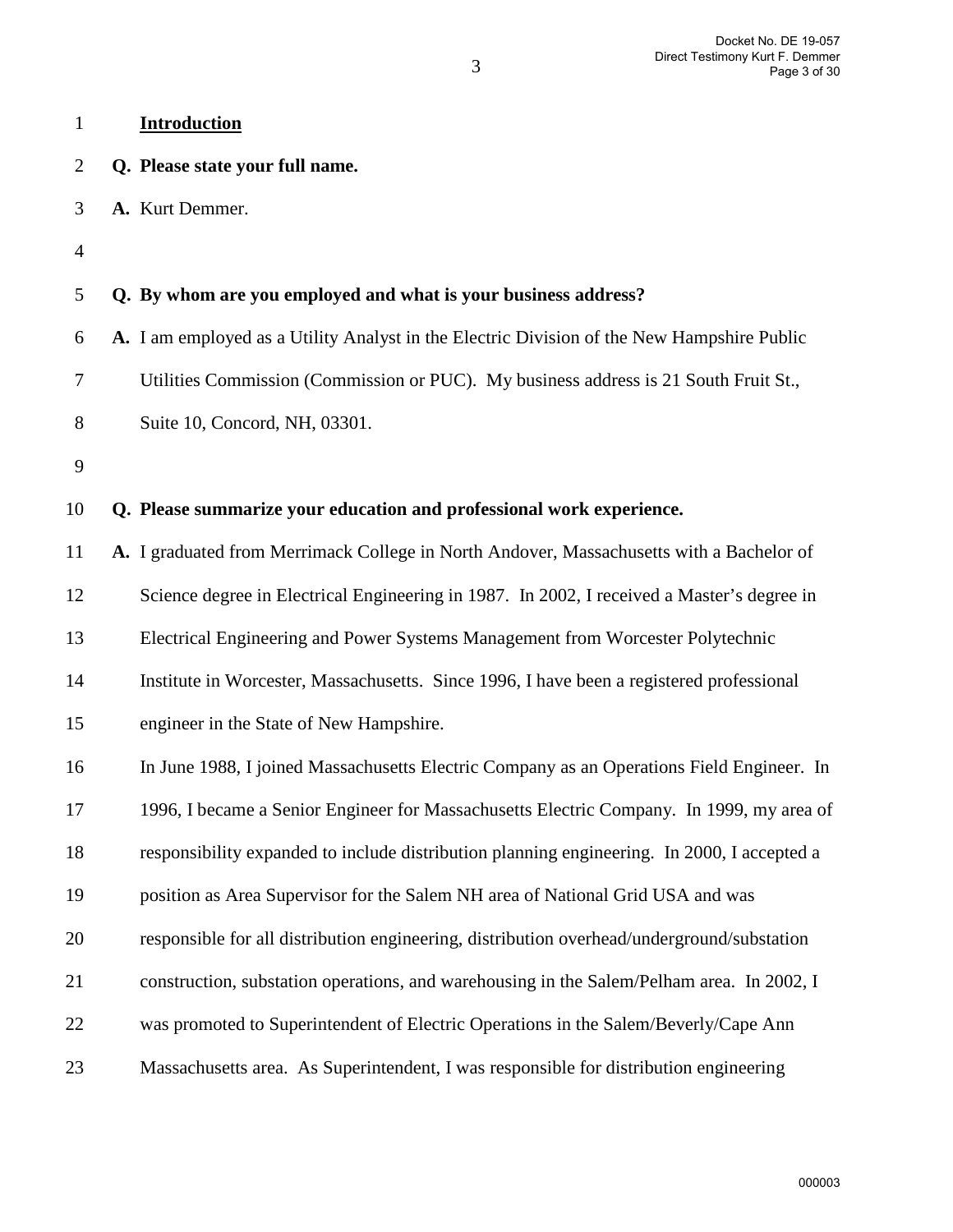| $\mathbf{1}$   | <b>Introduction</b>                                                                         |
|----------------|---------------------------------------------------------------------------------------------|
| $\overline{2}$ | Q. Please state your full name.                                                             |
| 3              | A. Kurt Demmer.                                                                             |
| 4              |                                                                                             |
| 5              | Q. By whom are you employed and what is your business address?                              |
| 6              | A. I am employed as a Utility Analyst in the Electric Division of the New Hampshire Public  |
| 7              | Utilities Commission (Commission or PUC). My business address is 21 South Fruit St.,        |
| 8              | Suite 10, Concord, NH, 03301.                                                               |
| 9              |                                                                                             |
| 10             | Q. Please summarize your education and professional work experience.                        |
| 11             | A. I graduated from Merrimack College in North Andover, Massachusetts with a Bachelor of    |
| 12             | Science degree in Electrical Engineering in 1987. In 2002, I received a Master's degree in  |
| 13             | Electrical Engineering and Power Systems Management from Worcester Polytechnic              |
| 14             | Institute in Worcester, Massachusetts. Since 1996, I have been a registered professional    |
| 15             | engineer in the State of New Hampshire.                                                     |
| 16             | In June 1988, I joined Massachusetts Electric Company as an Operations Field Engineer. In   |
| 17             | 1996, I became a Senior Engineer for Massachusetts Electric Company. In 1999, my area of    |
| 18             | responsibility expanded to include distribution planning engineering. In 2000, I accepted a |
| 19             | position as Area Supervisor for the Salem NH area of National Grid USA and was              |
| 20             | responsible for all distribution engineering, distribution overhead/underground/substation  |
| 21             | construction, substation operations, and warehousing in the Salem/Pelham area. In 2002, I   |
| 22             | was promoted to Superintendent of Electric Operations in the Salem/Beverly/Cape Ann         |
| 23             | Massachusetts area. As Superintendent, I was responsible for distribution engineering       |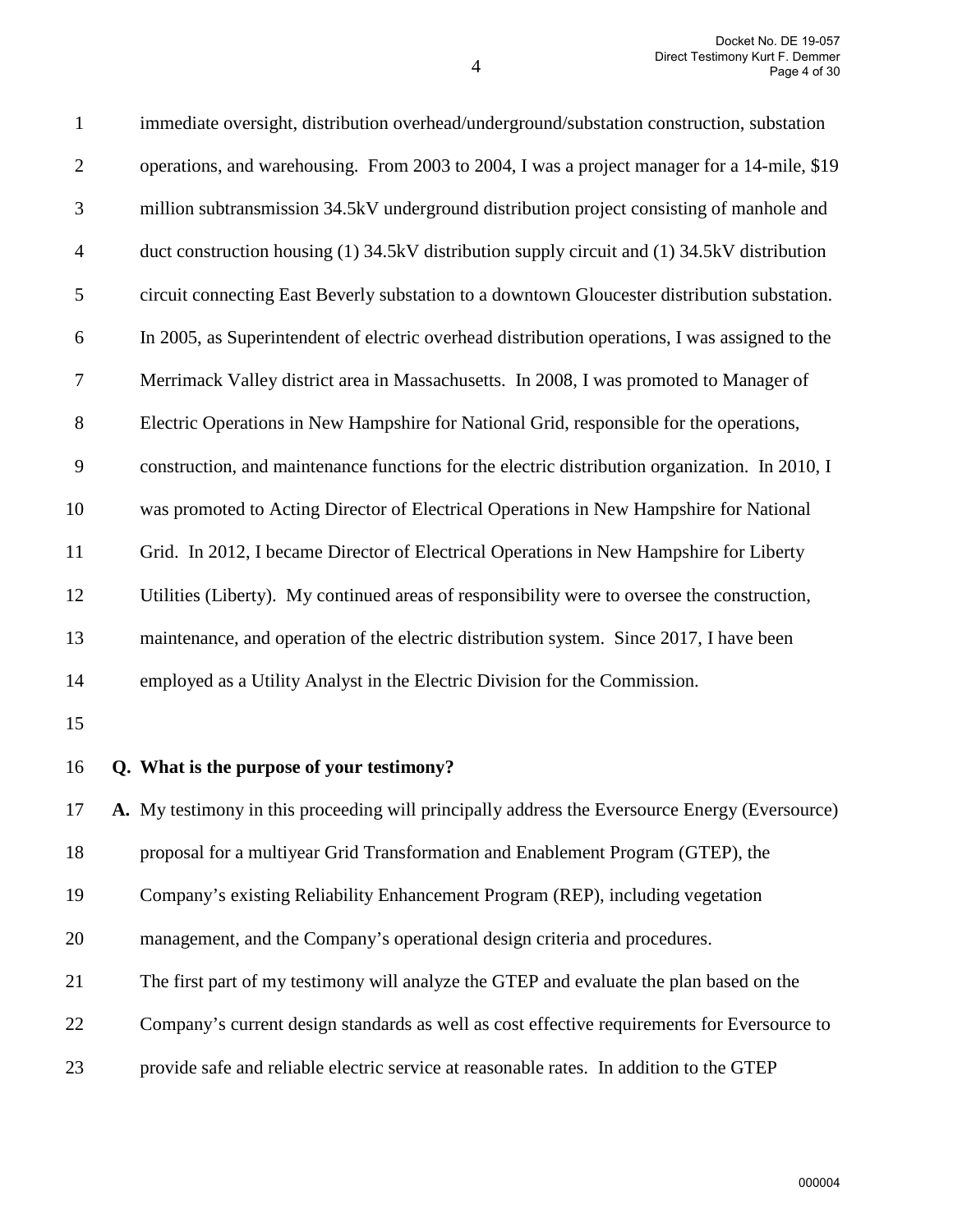| $\mathbf{1}$   | immediate oversight, distribution overhead/underground/substation construction, substation     |
|----------------|------------------------------------------------------------------------------------------------|
| $\mathfrak{2}$ | operations, and warehousing. From 2003 to 2004, I was a project manager for a 14-mile, \$19    |
| 3              | million subtransmission 34.5kV underground distribution project consisting of manhole and      |
| $\overline{4}$ | duct construction housing (1) 34.5kV distribution supply circuit and (1) 34.5kV distribution   |
| 5              | circuit connecting East Beverly substation to a downtown Gloucester distribution substation.   |
| 6              | In 2005, as Superintendent of electric overhead distribution operations, I was assigned to the |
| 7              | Merrimack Valley district area in Massachusetts. In 2008, I was promoted to Manager of         |
| $8\,$          | Electric Operations in New Hampshire for National Grid, responsible for the operations,        |
| 9              | construction, and maintenance functions for the electric distribution organization. In 2010, I |
| 10             | was promoted to Acting Director of Electrical Operations in New Hampshire for National         |
| 11             | Grid. In 2012, I became Director of Electrical Operations in New Hampshire for Liberty         |
| 12             | Utilities (Liberty). My continued areas of responsibility were to oversee the construction,    |
| 13             | maintenance, and operation of the electric distribution system. Since 2017, I have been        |
| 14             | employed as a Utility Analyst in the Electric Division for the Commission.                     |
| 15             |                                                                                                |
| 16             | Q. What is the purpose of your testimony?                                                      |
| 17             | A. My testimony in this proceeding will principally address the Eversource Energy (Eversource) |
| 18             | proposal for a multiyear Grid Transformation and Enablement Program (GTEP), the                |
| 19             | Company's existing Reliability Enhancement Program (REP), including vegetation                 |
| 20             | management, and the Company's operational design criteria and procedures.                      |
| 21             | The first part of my testimony will analyze the GTEP and evaluate the plan based on the        |
| 22             | Company's current design standards as well as cost effective requirements for Eversource to    |
| 23             | provide safe and reliable electric service at reasonable rates. In addition to the GTEP        |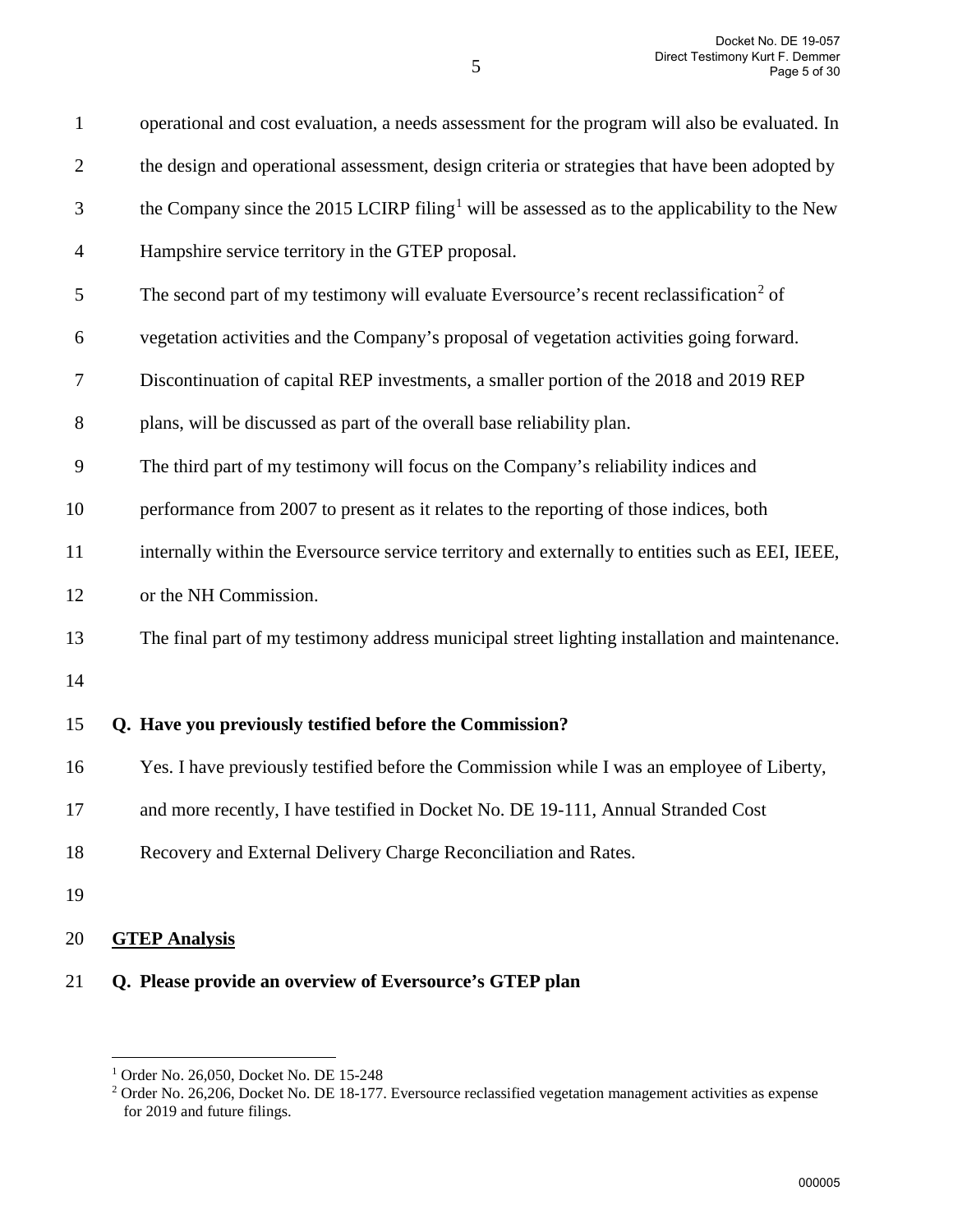| $\mathbf{1}$   | operational and cost evaluation, a needs assessment for the program will also be evaluated. In           |
|----------------|----------------------------------------------------------------------------------------------------------|
| $\overline{2}$ | the design and operational assessment, design criteria or strategies that have been adopted by           |
| 3              | the Company since the 2015 LCIRP filing <sup>1</sup> will be assessed as to the applicability to the New |
| $\overline{4}$ | Hampshire service territory in the GTEP proposal.                                                        |
| 5              | The second part of my testimony will evaluate Eversource's recent reclassification <sup>2</sup> of       |
| 6              | vegetation activities and the Company's proposal of vegetation activities going forward.                 |
| 7              | Discontinuation of capital REP investments, a smaller portion of the 2018 and 2019 REP                   |
| 8              | plans, will be discussed as part of the overall base reliability plan.                                   |
| 9              | The third part of my testimony will focus on the Company's reliability indices and                       |
| 10             | performance from 2007 to present as it relates to the reporting of those indices, both                   |
| 11             | internally within the Eversource service territory and externally to entities such as EEI, IEEE,         |
| 12             | or the NH Commission.                                                                                    |
| 13             | The final part of my testimony address municipal street lighting installation and maintenance.           |
| 14             |                                                                                                          |
| 15             | Q. Have you previously testified before the Commission?                                                  |
| 16             | Yes. I have previously testified before the Commission while I was an employee of Liberty,               |
| 17             | and more recently, I have testified in Docket No. DE 19-111, Annual Stranded Cost                        |
| 18             | Recovery and External Delivery Charge Reconciliation and Rates.                                          |
| 19             |                                                                                                          |
| 20             | <b>GTEP Analysis</b>                                                                                     |
|                |                                                                                                          |

## 21 **Q. Please provide an overview of Eversource's GTEP plan**

<sup>1</sup> Order No. 26,050, Docket No. DE 15-248

<span id="page-4-1"></span><span id="page-4-0"></span><sup>&</sup>lt;sup>2</sup> Order No. 26,206, Docket No. DE 18-177. Eversource reclassified vegetation management activities as expense for 2019 and future filings.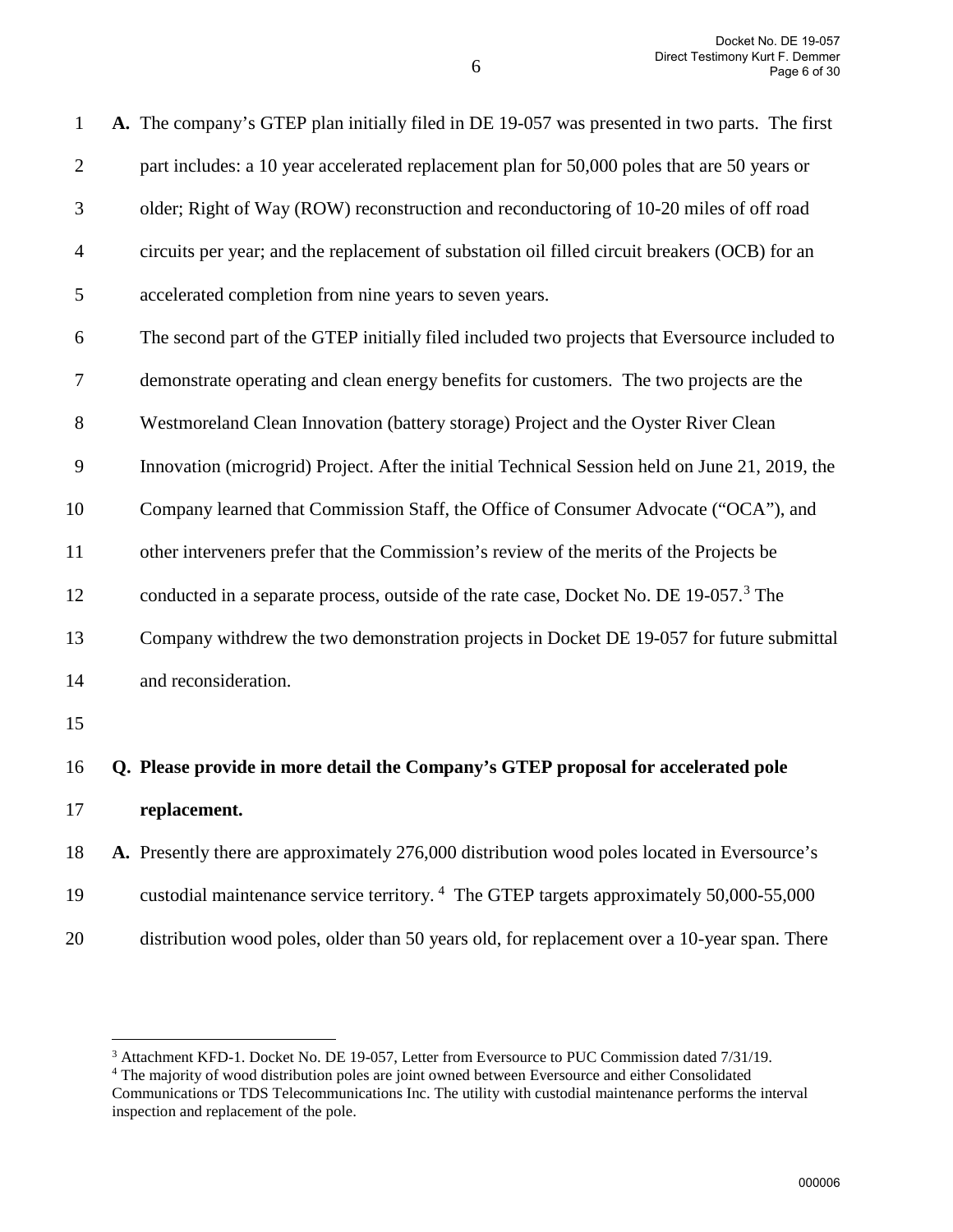| $\mathbf{1}$   | A. The company's GTEP plan initially filed in DE 19-057 was presented in two parts. The first      |
|----------------|----------------------------------------------------------------------------------------------------|
| $\mathbf{2}$   | part includes: a 10 year accelerated replacement plan for 50,000 poles that are 50 years or        |
| $\mathfrak{Z}$ | older; Right of Way (ROW) reconstruction and reconductoring of 10-20 miles of off road             |
| $\overline{4}$ | circuits per year; and the replacement of substation oil filled circuit breakers (OCB) for an      |
| 5              | accelerated completion from nine years to seven years.                                             |
| 6              | The second part of the GTEP initially filed included two projects that Eversource included to      |
| $\tau$         | demonstrate operating and clean energy benefits for customers. The two projects are the            |
| 8              | Westmoreland Clean Innovation (battery storage) Project and the Oyster River Clean                 |
| 9              | Innovation (microgrid) Project. After the initial Technical Session held on June 21, 2019, the     |
| 10             | Company learned that Commission Staff, the Office of Consumer Advocate ("OCA"), and                |
| 11             | other interveners prefer that the Commission's review of the merits of the Projects be             |
| 12             | conducted in a separate process, outside of the rate case, Docket No. DE 19-057. <sup>3</sup> The  |
| 13             | Company withdrew the two demonstration projects in Docket DE 19-057 for future submittal           |
| 14             | and reconsideration.                                                                               |
| 15             |                                                                                                    |
| 16             | Q. Please provide in more detail the Company's GTEP proposal for accelerated pole                  |
| 17             | replacement.                                                                                       |
| 18             | A. Presently there are approximately 276,000 distribution wood poles located in Eversource's       |
| 19             | custodial maintenance service territory. <sup>4</sup> The GTEP targets approximately 50,000-55,000 |

20 distribution wood poles, older than 50 years old, for replacement over a 10-year span. There

<sup>&</sup>lt;sup>3</sup> Attachment KFD-1. Docket No. DE 19-057, Letter from Eversource to PUC Commission dated 7/31/19.<br><sup>4</sup> The majority of wood distribution poles are joint owned between Eversource and either Consolidated

<span id="page-5-1"></span><span id="page-5-0"></span>Communications or TDS Telecommunications Inc. The utility with custodial maintenance performs the interval inspection and replacement of the pole.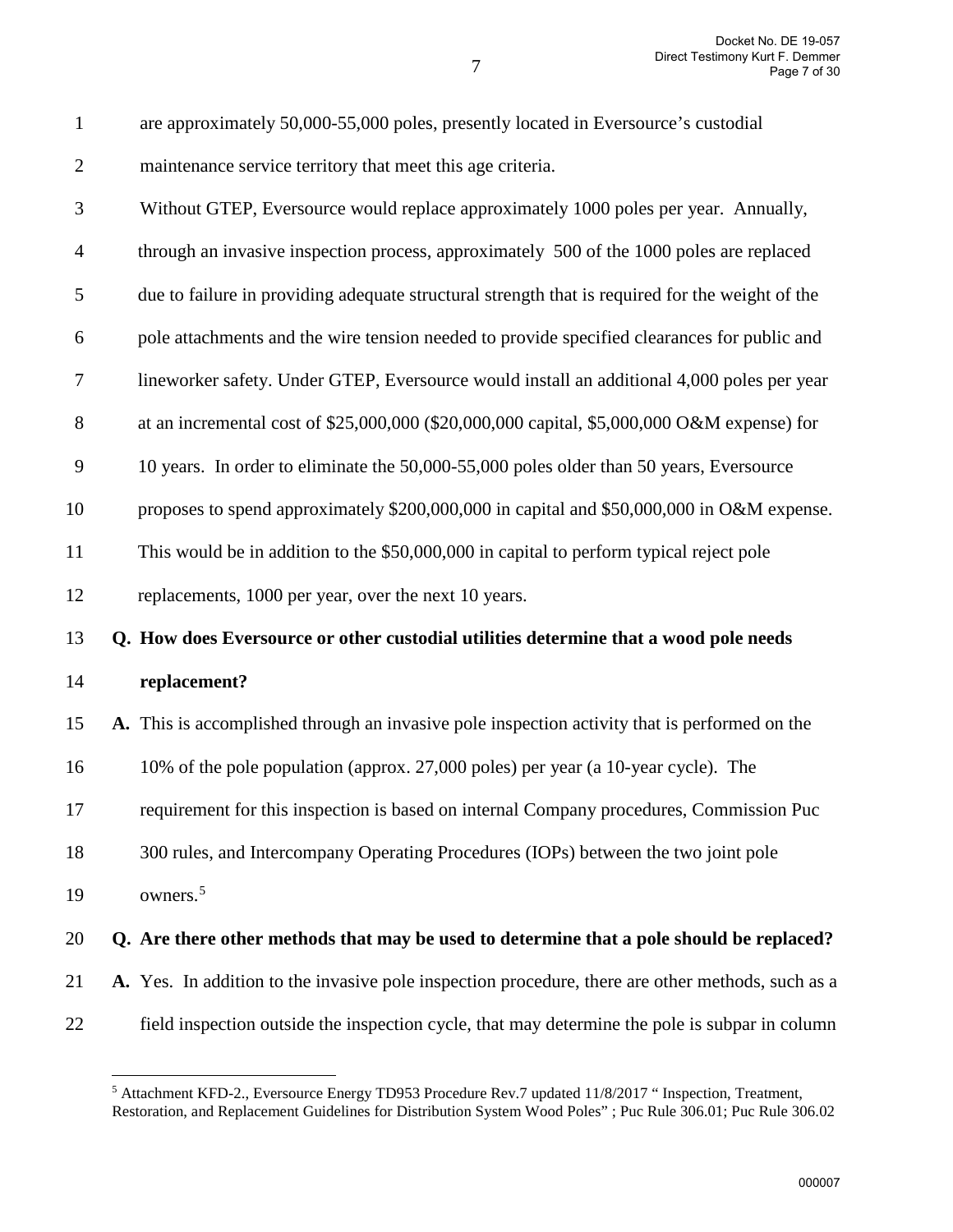| $\mathbf{1}$     | are approximately 50,000-55,000 poles, presently located in Eversource's custodial                |
|------------------|---------------------------------------------------------------------------------------------------|
| $\overline{2}$   | maintenance service territory that meet this age criteria.                                        |
| 3                | Without GTEP, Eversource would replace approximately 1000 poles per year. Annually,               |
| $\overline{4}$   | through an invasive inspection process, approximately 500 of the 1000 poles are replaced          |
| 5                | due to failure in providing adequate structural strength that is required for the weight of the   |
| 6                | pole attachments and the wire tension needed to provide specified clearances for public and       |
| $\boldsymbol{7}$ | lineworker safety. Under GTEP, Eversource would install an additional 4,000 poles per year        |
| $8\,$            | at an incremental cost of \$25,000,000 (\$20,000,000 capital, \$5,000,000 O&M expense) for        |
| $\mathbf{9}$     | 10 years. In order to eliminate the 50,000-55,000 poles older than 50 years, Eversource           |
| 10               | proposes to spend approximately \$200,000,000 in capital and \$50,000,000 in O&M expense.         |
| 11               | This would be in addition to the \$50,000,000 in capital to perform typical reject pole           |
| 12               | replacements, 1000 per year, over the next 10 years.                                              |
| 13               | Q. How does Eversource or other custodial utilities determine that a wood pole needs              |
| 14               | replacement?                                                                                      |
| 15               | A. This is accomplished through an invasive pole inspection activity that is performed on the     |
| 16               | 10% of the pole population (approx. 27,000 poles) per year (a 10-year cycle). The                 |
| 17               | requirement for this inspection is based on internal Company procedures, Commission Puc           |
| 18               | 300 rules, and Intercompany Operating Procedures (IOPs) between the two joint pole                |
| 19               | owners. <sup>5</sup>                                                                              |
| 20               | Q. Are there other methods that may be used to determine that a pole should be replaced?          |
| 21               | A. Yes. In addition to the invasive pole inspection procedure, there are other methods, such as a |
| 22               | field inspection outside the inspection cycle, that may determine the pole is subpar in column    |

 $\overline{a}$ 

7

<span id="page-6-0"></span><sup>&</sup>lt;sup>5</sup> Attachment KFD-2., Eversource Energy TD953 Procedure Rev.7 updated 11/8/2017 " Inspection, Treatment, Restoration, and Replacement Guidelines for Distribution System Wood Poles" ; Puc Rule 306.01; Puc Rule 306.02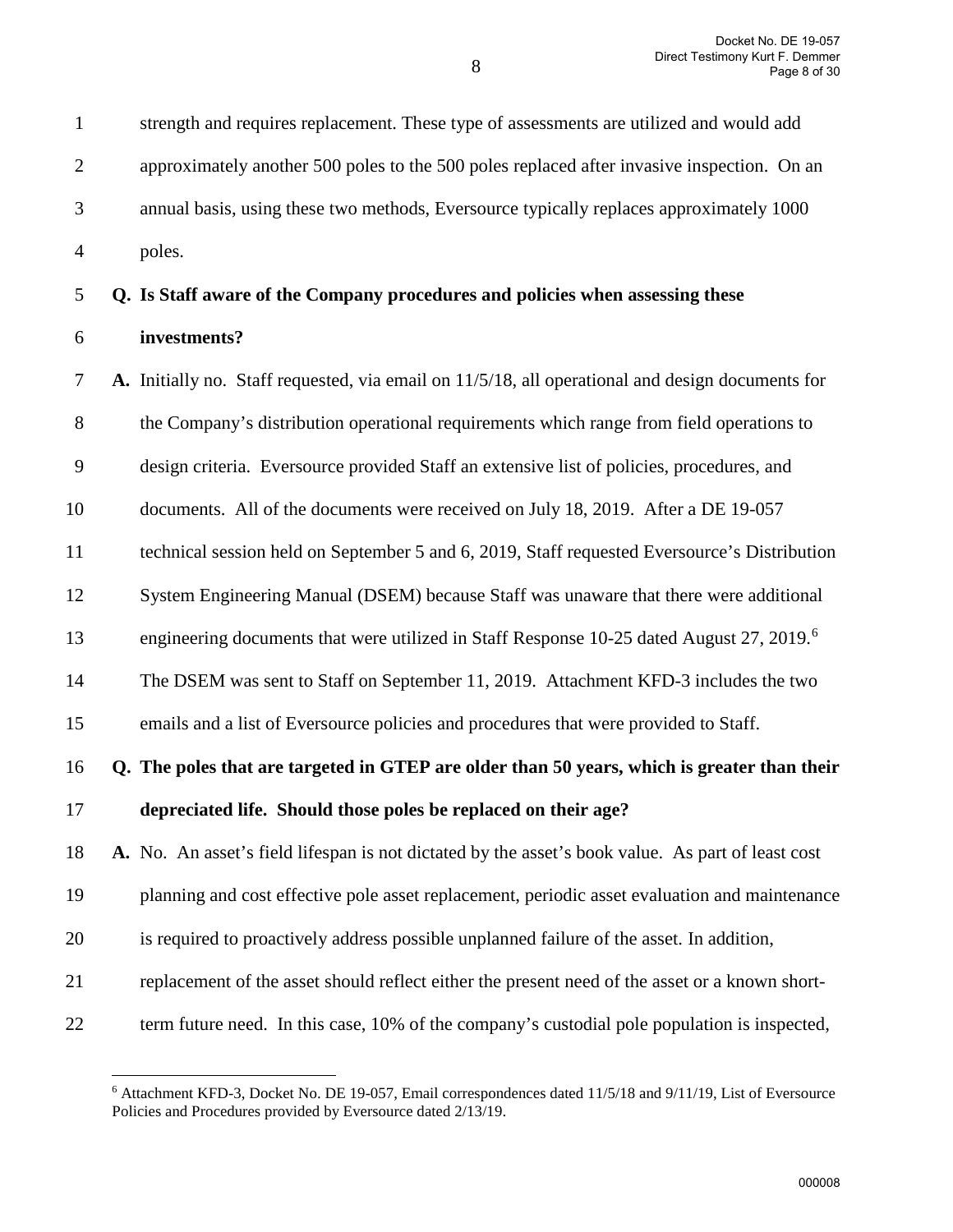1 strength and requires replacement. These type of assessments are utilized and would add

2 approximately another 500 poles to the 500 poles replaced after invasive inspection. On an 3 annual basis, using these two methods, Eversource typically replaces approximately 1000 4 poles. 5 **Q. Is Staff aware of the Company procedures and policies when assessing these**  6 **investments?** 7 **A.** Initially no. Staff requested, via email on 11/5/18, all operational and design documents for 8 the Company's distribution operational requirements which range from field operations to 9 design criteria. Eversource provided Staff an extensive list of policies, procedures, and 10 documents. All of the documents were received on July 18, 2019. After a DE 19-057 11 technical session held on September 5 and 6, 2019, Staff requested Eversource's Distribution

12 System Engineering Manual (DSEM) because Staff was unaware that there were additional

engineering documents that were utilized in Staff Response 10-25 dated August 27, 2019.<sup>[6](#page-7-0)</sup>

14 The DSEM was sent to Staff on September 11, 2019. Attachment KFD-3 includes the two

15 emails and a list of Eversource policies and procedures that were provided to Staff.

16 **Q. The poles that are targeted in GTEP are older than 50 years, which is greater than their** 

17 **depreciated life. Should those poles be replaced on their age?**

 $\overline{a}$ 

18 **A.** No. An asset's field lifespan is not dictated by the asset's book value. As part of least cost

19 planning and cost effective pole asset replacement, periodic asset evaluation and maintenance

- 20 is required to proactively address possible unplanned failure of the asset. In addition,
- 21 replacement of the asset should reflect either the present need of the asset or a known short-
- <span id="page-7-0"></span>22 term future need. In this case, 10% of the company's custodial pole population is inspected,

<sup>6</sup> Attachment KFD-3, Docket No. DE 19-057, Email correspondences dated 11/5/18 and 9/11/19, List of Eversource Policies and Procedures provided by Eversource dated 2/13/19.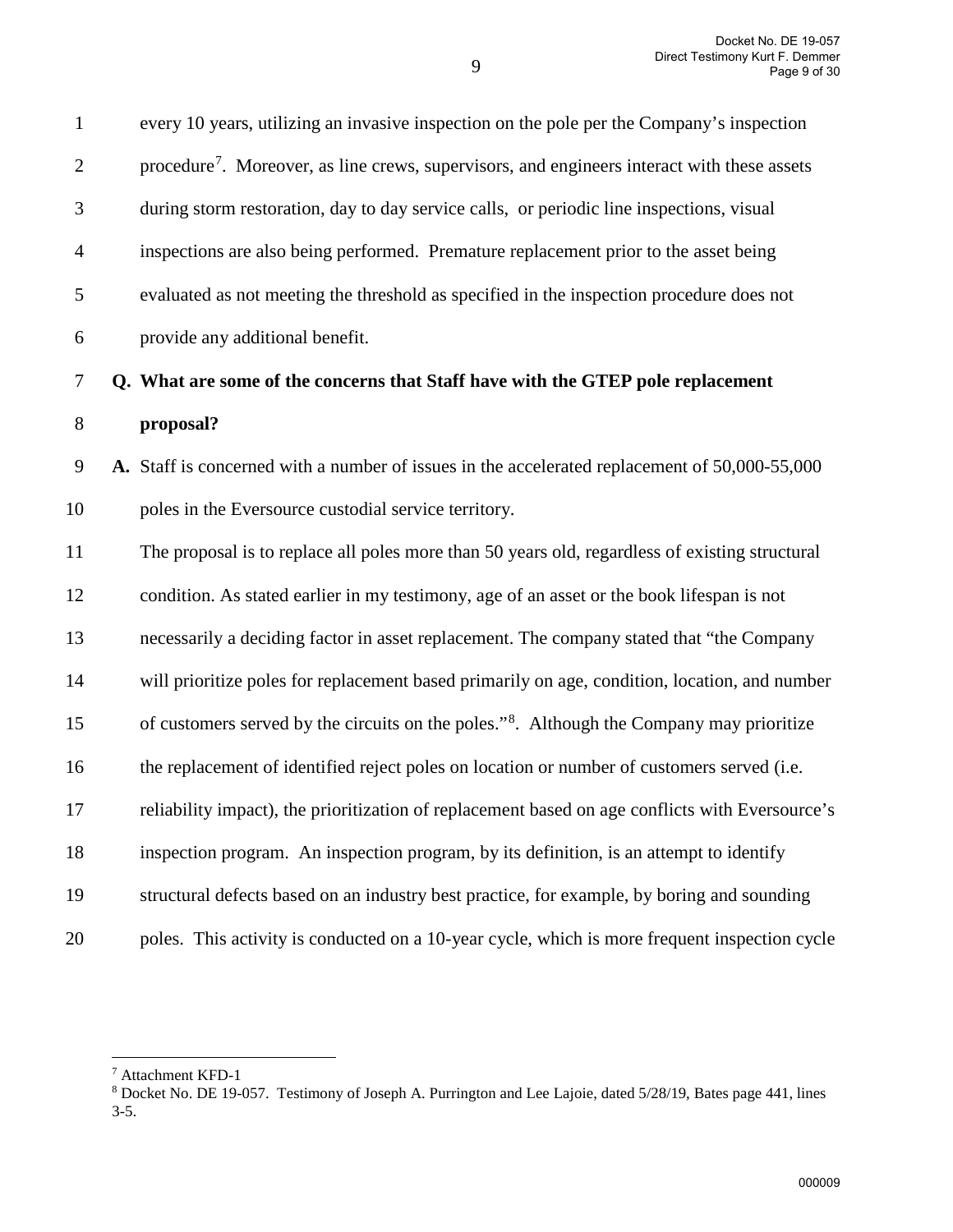1 every 10 years, utilizing an invasive inspection on the pole per the Company's inspection  $2$  rocedure<sup>[7](#page-8-0)</sup>. Moreover, as line crews, supervisors, and engineers interact with these assets 3 during storm restoration, day to day service calls, or periodic line inspections, visual 4 inspections are also being performed. Premature replacement prior to the asset being 5 evaluated as not meeting the threshold as specified in the inspection procedure does not 6 provide any additional benefit. 7 **Q. What are some of the concerns that Staff have with the GTEP pole replacement**  8 **proposal?**  9 **A.** Staff is concerned with a number of issues in the accelerated replacement of 50,000-55,000 10 poles in the Eversource custodial service territory. 11 The proposal is to replace all poles more than 50 years old, regardless of existing structural

12 condition. As stated earlier in my testimony, age of an asset or the book lifespan is not 13 necessarily a deciding factor in asset replacement. The company stated that "the Company 14 will prioritize poles for replacement based primarily on age, condition, location, and number 15 of customers served by the circuits on the poles."<sup>[8](#page-8-1)</sup>. Although the Company may prioritize 16 the replacement of identified reject poles on location or number of customers served (i.e. 17 reliability impact), the prioritization of replacement based on age conflicts with Eversource's 18 inspection program. An inspection program, by its definition, is an attempt to identify 19 structural defects based on an industry best practice, for example, by boring and sounding 20 poles. This activity is conducted on a 10-year cycle, which is more frequent inspection cycle

<span id="page-8-1"></span><span id="page-8-0"></span><sup>&</sup>lt;sup>7</sup> Attachment KFD-1<br><sup>8</sup> Docket No. DE 19-057. Testimony of Joseph A. Purrington and Lee Lajoie, dated 5/28/19, Bates page 441, lines 3-5.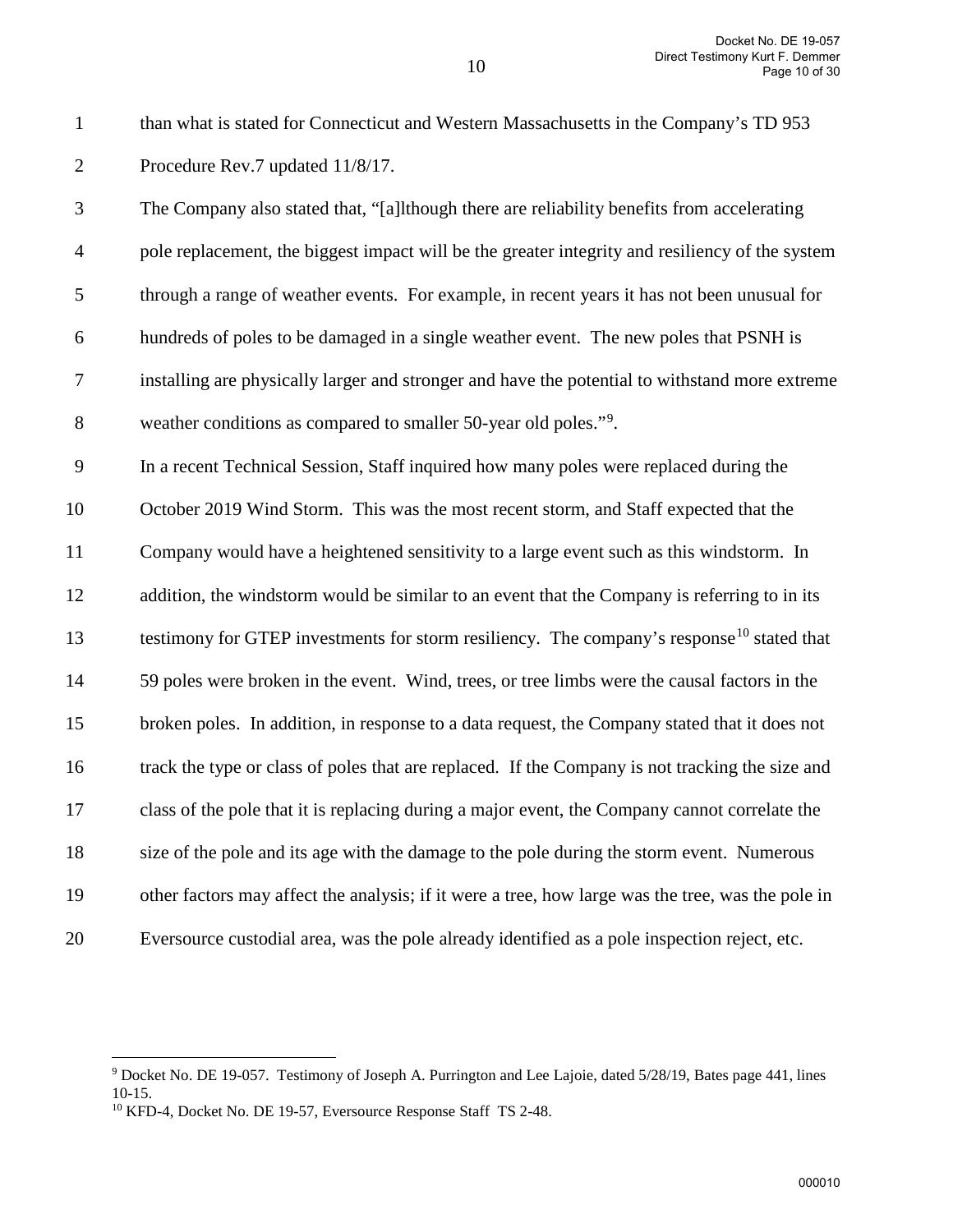1 than what is stated for Connecticut and Western Massachusetts in the Company's TD 953 2 Procedure Rev.7 updated 11/8/17.

3 The Company also stated that, "[a]lthough there are reliability benefits from accelerating 4 pole replacement, the biggest impact will be the greater integrity and resiliency of the system 5 through a range of weather events. For example, in recent years it has not been unusual for 6 hundreds of poles to be damaged in a single weather event. The new poles that PSNH is 7 installing are physically larger and stronger and have the potential to withstand more extreme 8 weather conditions as compared to smaller 50-year old poles."<sup>[9](#page-9-0)</sup>

9 In a recent Technical Session, Staff inquired how many poles were replaced during the 10 October 2019 Wind Storm. This was the most recent storm, and Staff expected that the 11 Company would have a heightened sensitivity to a large event such as this windstorm. In

12 addition, the windstorm would be similar to an event that the Company is referring to in its 13 testimony for GTEP investments for storm resiliency. The company's response<sup>[10](#page-9-1)</sup> stated that

14 59 poles were broken in the event. Wind, trees, or tree limbs were the causal factors in the

15 broken poles. In addition, in response to a data request, the Company stated that it does not

16 track the type or class of poles that are replaced. If the Company is not tracking the size and

17 class of the pole that it is replacing during a major event, the Company cannot correlate the

18 size of the pole and its age with the damage to the pole during the storm event. Numerous

- 19 other factors may affect the analysis; if it were a tree, how large was the tree, was the pole in
- 

20 Eversource custodial area, was the pole already identified as a pole inspection reject, etc.

<span id="page-9-0"></span> $\overline{a}$ <sup>9</sup> Docket No. DE 19-057. Testimony of Joseph A. Purrington and Lee Lajoie, dated 5/28/19, Bates page 441, lines 10-15.

<span id="page-9-1"></span><sup>&</sup>lt;sup>10</sup> KFD-4, Docket No. DE 19-57, Eversource Response Staff TS 2-48.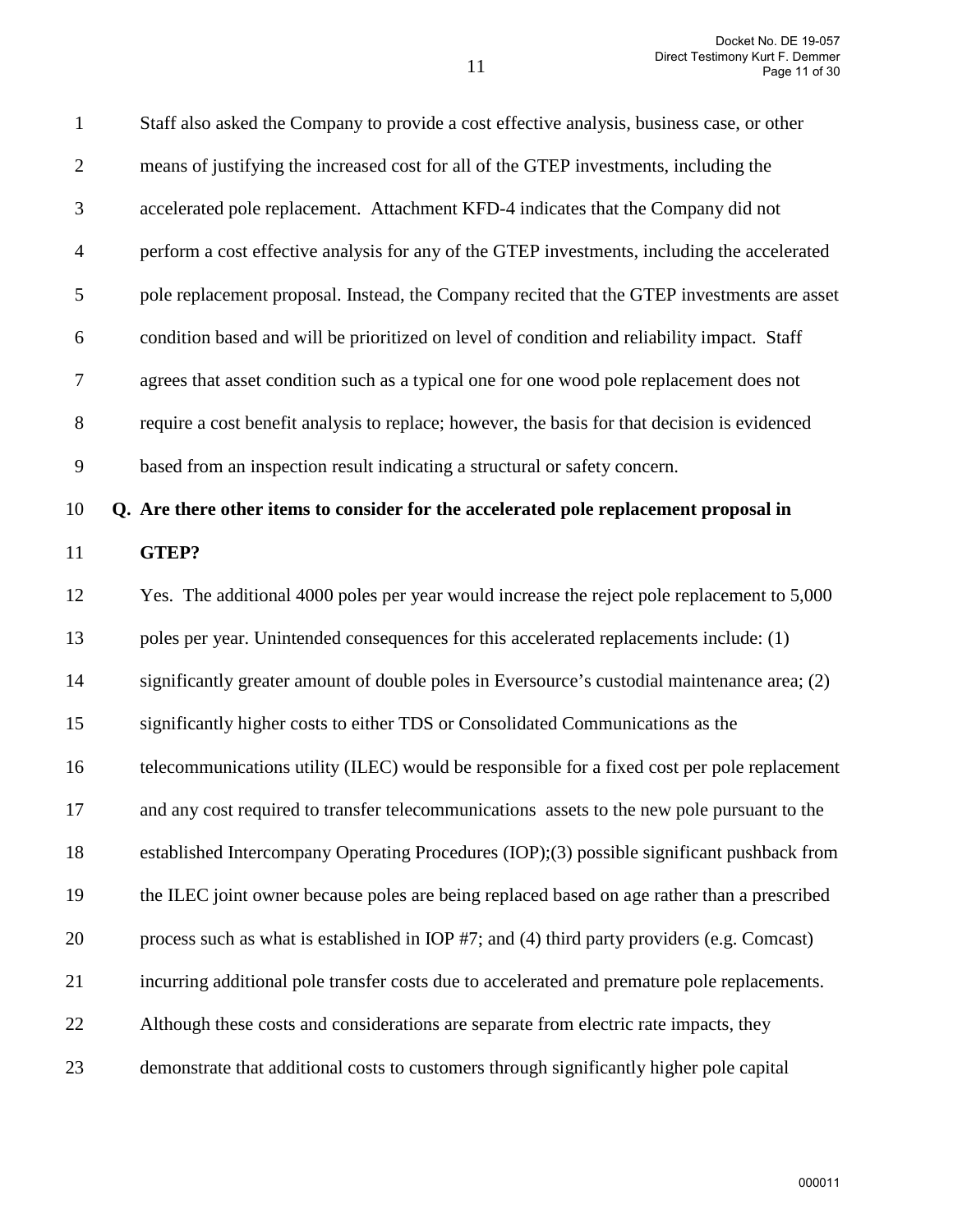| $\mathbf{1}$   | Staff also asked the Company to provide a cost effective analysis, business case, or other    |
|----------------|-----------------------------------------------------------------------------------------------|
| $\overline{2}$ | means of justifying the increased cost for all of the GTEP investments, including the         |
| 3              | accelerated pole replacement. Attachment KFD-4 indicates that the Company did not             |
| $\overline{4}$ | perform a cost effective analysis for any of the GTEP investments, including the accelerated  |
| 5              | pole replacement proposal. Instead, the Company recited that the GTEP investments are asset   |
| 6              | condition based and will be prioritized on level of condition and reliability impact. Staff   |
| 7              | agrees that asset condition such as a typical one for one wood pole replacement does not      |
| $8\,$          | require a cost benefit analysis to replace; however, the basis for that decision is evidenced |
| 9              | based from an inspection result indicating a structural or safety concern.                    |
| 10             | Q. Are there other items to consider for the accelerated pole replacement proposal in         |
| 11             | GTEP?                                                                                         |
| 12             | Yes. The additional 4000 poles per year would increase the reject pole replacement to 5,000   |
| 13             | poles per year. Unintended consequences for this accelerated replacements include: (1)        |
| 14             | significantly greater amount of double poles in Eversource's custodial maintenance area; (2)  |
| 15             | significantly higher costs to either TDS or Consolidated Communications as the                |
| 16             | telecommunications utility (ILEC) would be responsible for a fixed cost per pole replacement  |
| 17             | and any cost required to transfer telecommunications assets to the new pole pursuant to the   |
| 18             | established Intercompany Operating Procedures (IOP);(3) possible significant pushback from    |
| 19             | the ILEC joint owner because poles are being replaced based on age rather than a prescribed   |
| 20             | process such as what is established in IOP #7; and (4) third party providers (e.g. Comcast)   |
| 21             | incurring additional pole transfer costs due to accelerated and premature pole replacements.  |
| 22             | Although these costs and considerations are separate from electric rate impacts, they         |
| 23             | demonstrate that additional costs to customers through significantly higher pole capital      |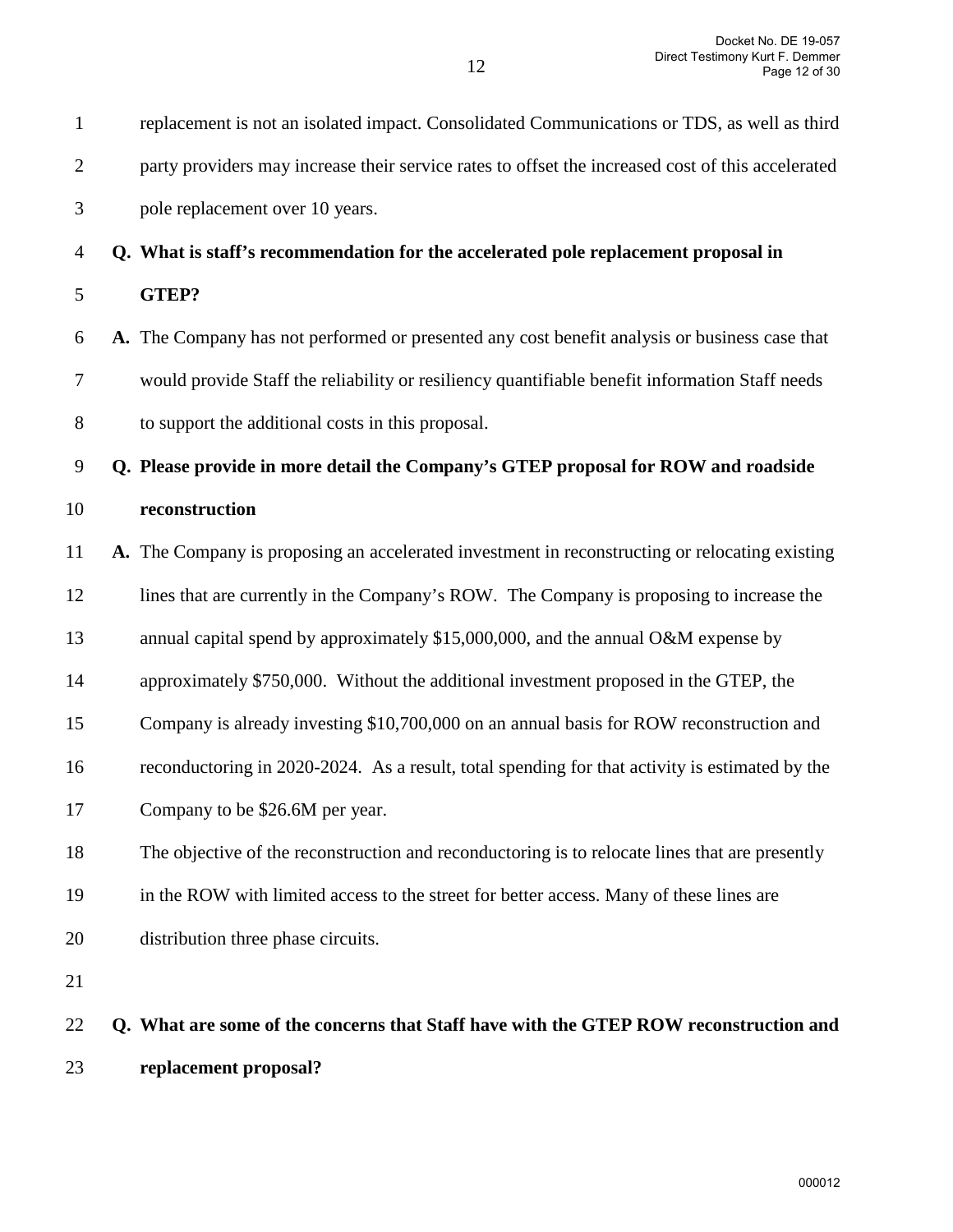| $\mathbf{1}$   | replacement is not an isolated impact. Consolidated Communications or TDS, as well as third       |
|----------------|---------------------------------------------------------------------------------------------------|
| $\overline{2}$ | party providers may increase their service rates to offset the increased cost of this accelerated |
| 3              | pole replacement over 10 years.                                                                   |
| $\overline{4}$ | Q. What is staff's recommendation for the accelerated pole replacement proposal in                |
| 5              | GTEP?                                                                                             |
| 6              | A. The Company has not performed or presented any cost benefit analysis or business case that     |
| 7              | would provide Staff the reliability or resiliency quantifiable benefit information Staff needs    |
| 8              | to support the additional costs in this proposal.                                                 |
| 9              | Q. Please provide in more detail the Company's GTEP proposal for ROW and roadside                 |
| 10             | reconstruction                                                                                    |
| 11             | A. The Company is proposing an accelerated investment in reconstructing or relocating existing    |
| 12             | lines that are currently in the Company's ROW. The Company is proposing to increase the           |
| 13             | annual capital spend by approximately \$15,000,000, and the annual O&M expense by                 |
| 14             | approximately \$750,000. Without the additional investment proposed in the GTEP, the              |
| 15             | Company is already investing \$10,700,000 on an annual basis for ROW reconstruction and           |
| 16             | reconductoring in 2020-2024. As a result, total spending for that activity is estimated by the    |
| 17             | Company to be \$26.6M per year.                                                                   |
| 18             | The objective of the reconstruction and reconductoring is to relocate lines that are presently    |
| 19             | in the ROW with limited access to the street for better access. Many of these lines are           |
| 20             | distribution three phase circuits.                                                                |
| 21             |                                                                                                   |
| 22             | Q. What are some of the concerns that Staff have with the GTEP ROW reconstruction and             |
|                |                                                                                                   |

23 **replacement proposal?** 

12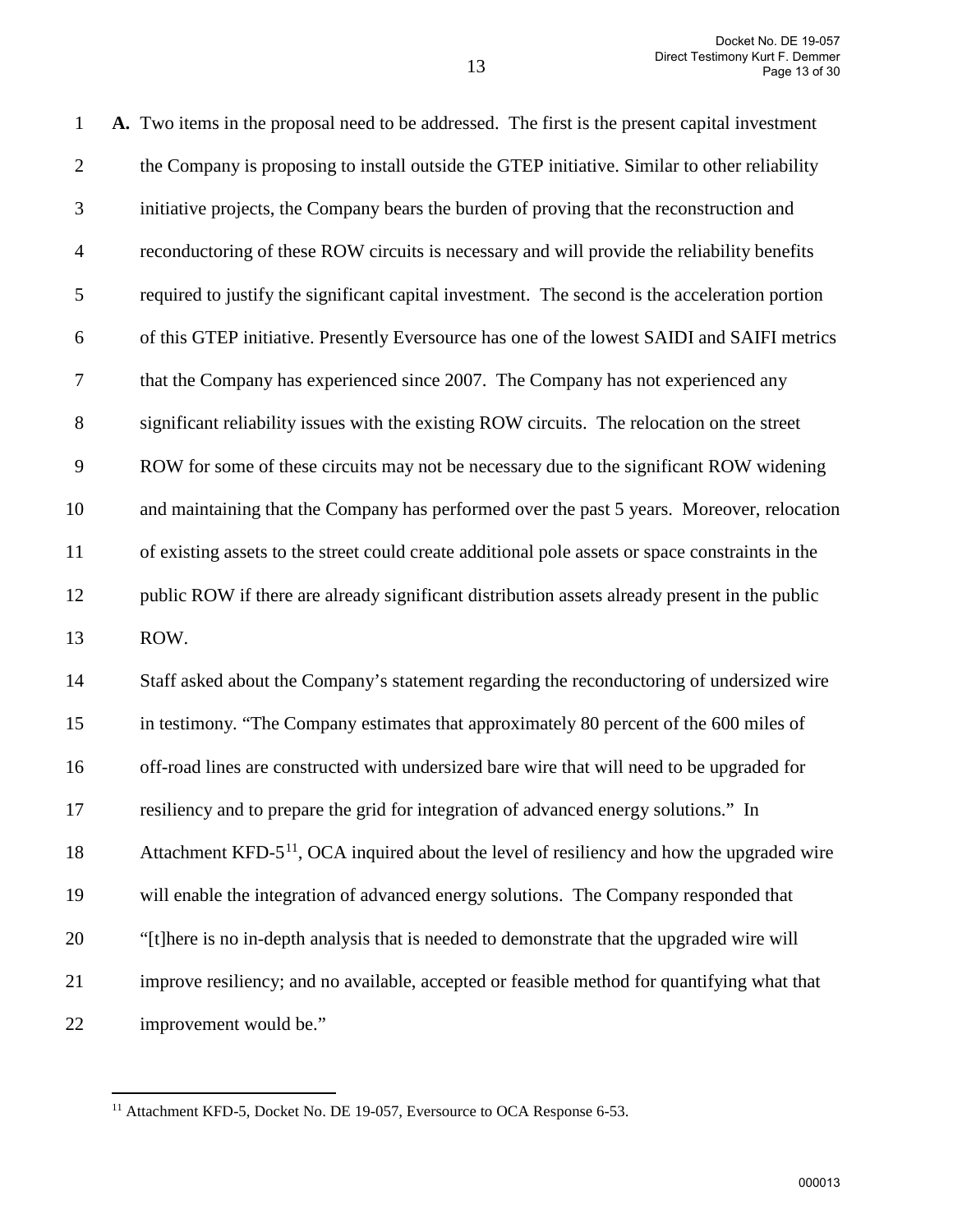1 **A.** Two items in the proposal need to be addressed. The first is the present capital investment 2 the Company is proposing to install outside the GTEP initiative. Similar to other reliability 3 initiative projects, the Company bears the burden of proving that the reconstruction and 4 reconductoring of these ROW circuits is necessary and will provide the reliability benefits 5 required to justify the significant capital investment. The second is the acceleration portion 6 of this GTEP initiative. Presently Eversource has one of the lowest SAIDI and SAIFI metrics 7 that the Company has experienced since 2007. The Company has not experienced any 8 significant reliability issues with the existing ROW circuits. The relocation on the street 9 ROW for some of these circuits may not be necessary due to the significant ROW widening 10 and maintaining that the Company has performed over the past 5 years. Moreover, relocation 11 of existing assets to the street could create additional pole assets or space constraints in the 12 public ROW if there are already significant distribution assets already present in the public 13 ROW. 14 Staff asked about the Company's statement regarding the reconductoring of undersized wire 15 in testimony. "The Company estimates that approximately 80 percent of the 600 miles of 16 off-road lines are constructed with undersized bare wire that will need to be upgraded for 17 resiliency and to prepare the grid for integration of advanced energy solutions." In Attachment KFD- $5<sup>11</sup>$  $5<sup>11</sup>$  $5<sup>11</sup>$ , OCA inquired about the level of resiliency and how the upgraded wire 19 will enable the integration of advanced energy solutions. The Company responded that 20 "[t]here is no in-depth analysis that is needed to demonstrate that the upgraded wire will 21 improve resiliency; and no available, accepted or feasible method for quantifying what that

<span id="page-12-0"></span>22 improvement would be."

<sup>&</sup>lt;sup>11</sup> Attachment KFD-5, Docket No. DE 19-057, Eversource to OCA Response 6-53.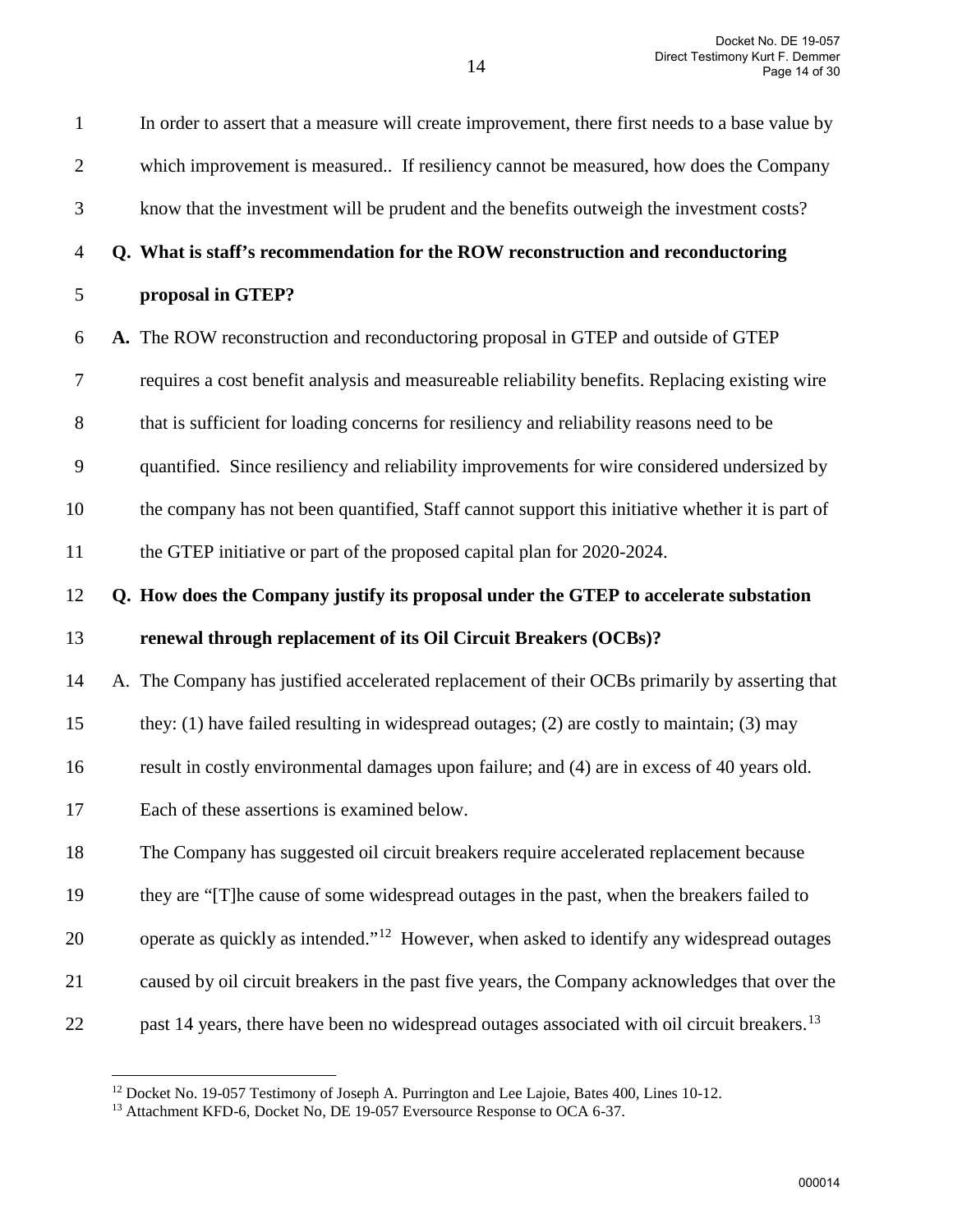| $\mathbf{2}$ | which improvement is measured If resiliency cannot be measured, how does the Company                     |
|--------------|----------------------------------------------------------------------------------------------------------|
| 3            | know that the investment will be prudent and the benefits outweigh the investment costs?                 |
| 4            | Q. What is staff's recommendation for the ROW reconstruction and reconductoring                          |
| 5            | proposal in GTEP?                                                                                        |
| 6            | A. The ROW reconstruction and reconductoring proposal in GTEP and outside of GTEP                        |
| 7            | requires a cost benefit analysis and measureable reliability benefits. Replacing existing wire           |
| 8            | that is sufficient for loading concerns for resiliency and reliability reasons need to be                |
| 9            | quantified. Since resiliency and reliability improvements for wire considered undersized by              |
| 10           | the company has not been quantified, Staff cannot support this initiative whether it is part of          |
| 11           | the GTEP initiative or part of the proposed capital plan for 2020-2024.                                  |
| 12           | Q. How does the Company justify its proposal under the GTEP to accelerate substation                     |
| 13           | renewal through replacement of its Oil Circuit Breakers (OCBs)?                                          |
| 14           | A. The Company has justified accelerated replacement of their OCBs primarily by asserting that           |
| 15           | they: $(1)$ have failed resulting in widespread outages; $(2)$ are costly to maintain; $(3)$ may         |
| 16           | result in costly environmental damages upon failure; and (4) are in excess of 40 years old.              |
| 17           | Each of these assertions is examined below.                                                              |
| 18           | The Company has suggested oil circuit breakers require accelerated replacement because                   |
| 19           | they are "[T] he cause of some widespread outages in the past, when the breakers failed to               |
| 20           | operate as quickly as intended." <sup>12</sup> However, when asked to identify any widespread outages    |
| 21           | caused by oil circuit breakers in the past five years, the Company acknowledges that over the            |
| 22           | past 14 years, there have been no widespread outages associated with oil circuit breakers. <sup>13</sup> |

 $\overline{a}$ 

1 In order to assert that a measure will create improvement, there first needs to a base value by

<span id="page-13-0"></span> $12$  Docket No. 19-057 Testimony of Joseph A. Purrington and Lee Lajoie, Bates 400, Lines 10-12.

<span id="page-13-1"></span><sup>&</sup>lt;sup>13</sup> Attachment KFD-6, Docket No, DE 19-057 Eversource Response to OCA 6-37.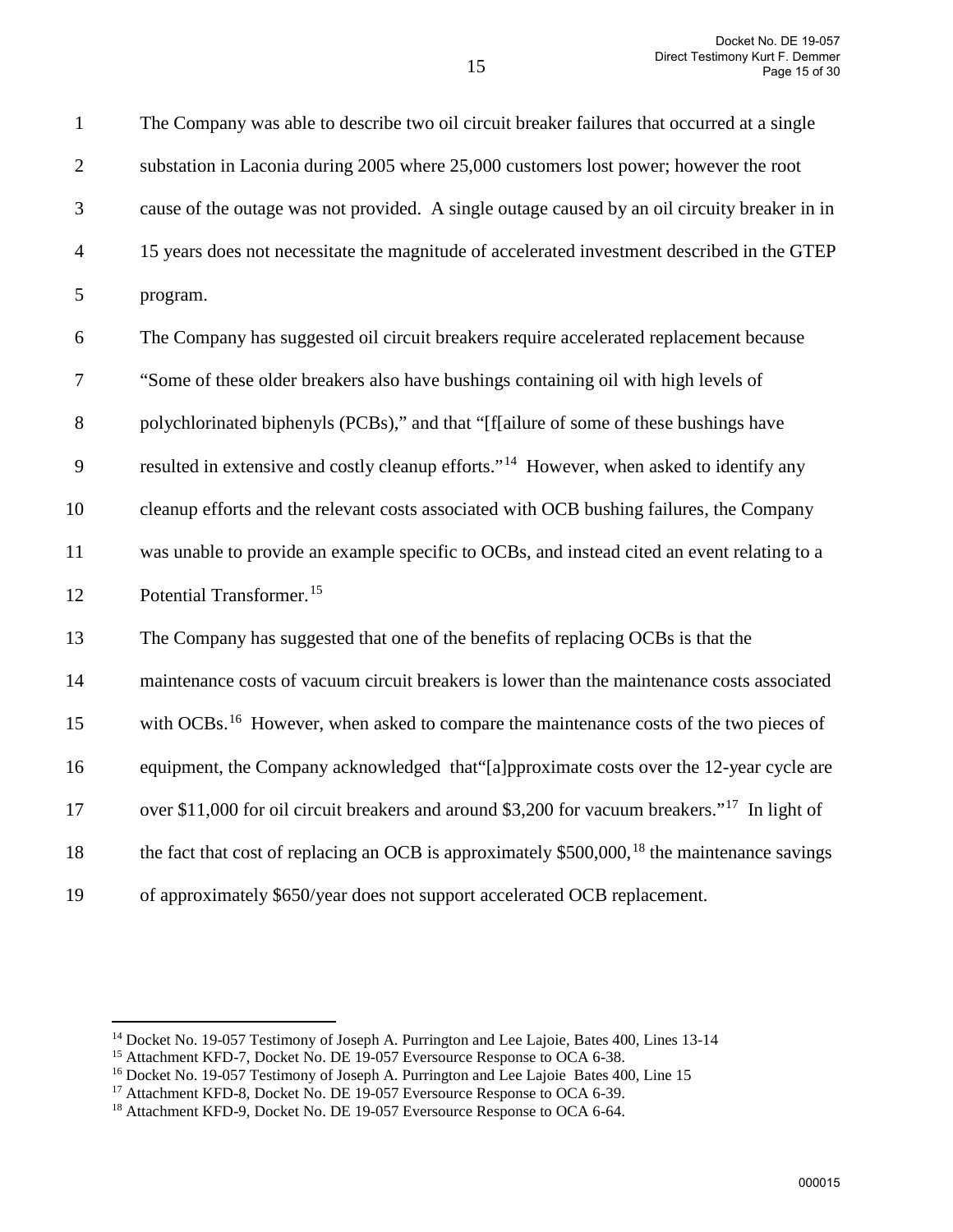1 The Company was able to describe two oil circuit breaker failures that occurred at a single

| $\mathbf{2}$   | substation in Laconia during 2005 where 25,000 customers lost power; however the root                      |
|----------------|------------------------------------------------------------------------------------------------------------|
| 3              | cause of the outage was not provided. A single outage caused by an oil circuity breaker in in              |
| $\overline{4}$ | 15 years does not necessitate the magnitude of accelerated investment described in the GTEP                |
| 5              | program.                                                                                                   |
| 6              | The Company has suggested oil circuit breakers require accelerated replacement because                     |
| 7              | "Some of these older breakers also have bushings containing oil with high levels of                        |
| $8\,$          | polychlorinated biphenyls (PCBs)," and that "[f[ailure of some of these bushings have                      |
| 9              | resulted in extensive and costly cleanup efforts." <sup>14</sup> However, when asked to identify any       |
| 10             | cleanup efforts and the relevant costs associated with OCB bushing failures, the Company                   |
| 11             | was unable to provide an example specific to OCBs, and instead cited an event relating to a                |
| 12             | Potential Transformer. <sup>15</sup>                                                                       |
| 13             | The Company has suggested that one of the benefits of replacing OCBs is that the                           |
| 14             | maintenance costs of vacuum circuit breakers is lower than the maintenance costs associated                |
| 15             | with OCBs. <sup>16</sup> However, when asked to compare the maintenance costs of the two pieces of         |
| 16             | equipment, the Company acknowledged that"[a]pproximate costs over the 12-year cycle are                    |
| 17             | over \$11,000 for oil circuit breakers and around \$3,200 for vacuum breakers." <sup>17</sup> In light of  |
| 18             | the fact that cost of replacing an OCB is approximately $$500,000$ , <sup>18</sup> the maintenance savings |
| 19             | of approximately \$650/year does not support accelerated OCB replacement.                                  |

<span id="page-14-0"></span> $\overline{a}$ 

<sup>&</sup>lt;sup>14</sup> Docket No. 19-057 Testimony of Joseph A. Purrington and Lee Lajoie, Bates 400, Lines 13-14

<span id="page-14-2"></span><span id="page-14-1"></span><sup>&</sup>lt;sup>15</sup> Attachment KFD-7, Docket No. DE 19-057 Eversource Response to OCA 6-38.

<sup>&</sup>lt;sup>16</sup> Docket No. 19-057 Testimony of Joseph A. Purrington and Lee Lajoie Bates 400, Line 15

<span id="page-14-3"></span><sup>17</sup> Attachment KFD-8, Docket No. DE 19-057 Eversource Response to OCA 6-39.

<span id="page-14-4"></span><sup>&</sup>lt;sup>18</sup> Attachment KFD-9, Docket No. DE 19-057 Eversource Response to OCA 6-64.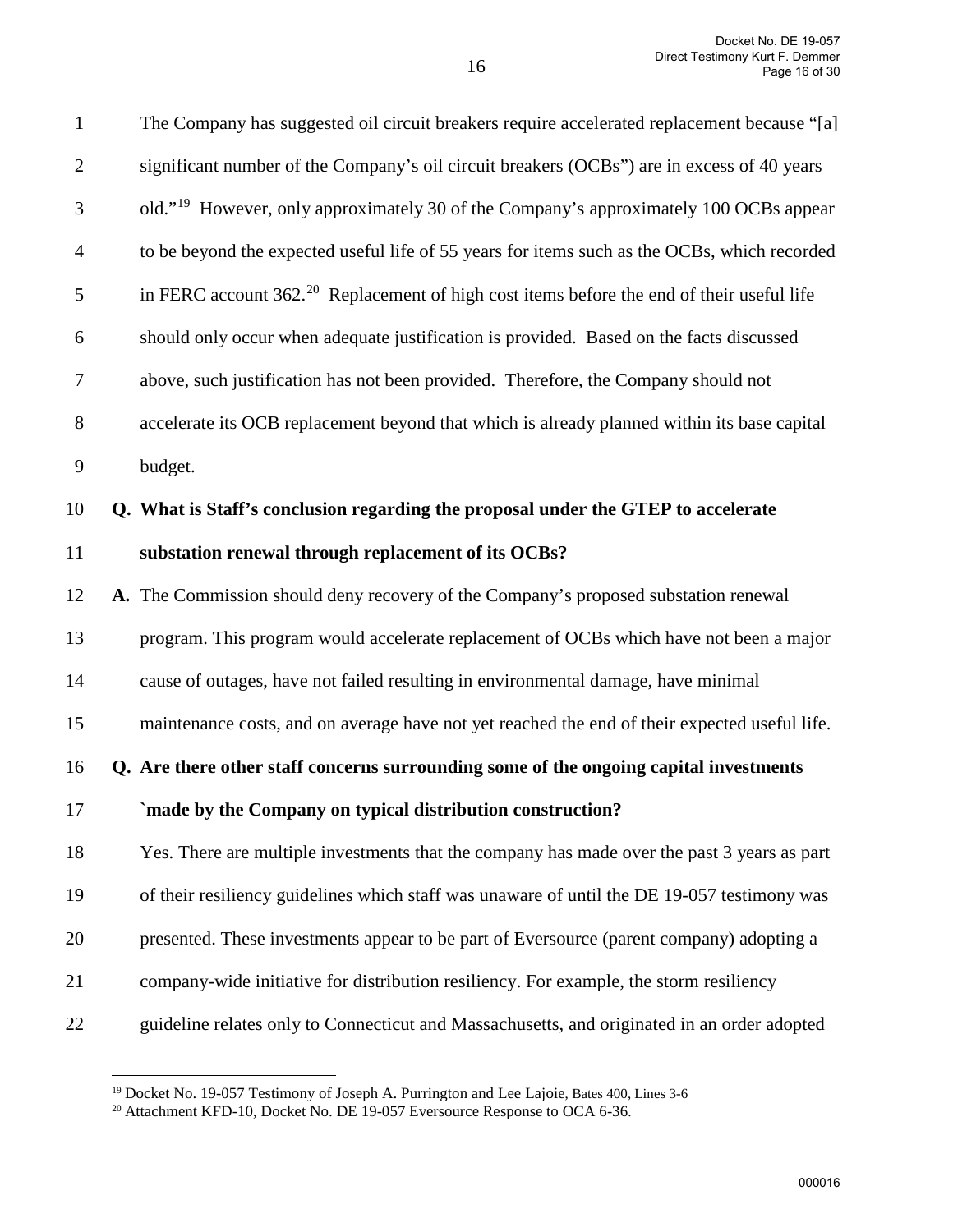| $\mathbf{1}$   | The Company has suggested oil circuit breakers require accelerated replacement because "[a]           |
|----------------|-------------------------------------------------------------------------------------------------------|
| $\mathfrak{2}$ | significant number of the Company's oil circuit breakers (OCBs") are in excess of 40 years            |
| 3              | old." <sup>19</sup> However, only approximately 30 of the Company's approximately 100 OCBs appear     |
| $\overline{4}$ | to be beyond the expected useful life of 55 years for items such as the OCBs, which recorded          |
| 5              | in FERC account 362. <sup>20</sup> Replacement of high cost items before the end of their useful life |
| 6              | should only occur when adequate justification is provided. Based on the facts discussed               |
| 7              | above, such justification has not been provided. Therefore, the Company should not                    |
| $8\,$          | accelerate its OCB replacement beyond that which is already planned within its base capital           |
| 9              | budget.                                                                                               |
| 10             | Q. What is Staff's conclusion regarding the proposal under the GTEP to accelerate                     |
| 11             | substation renewal through replacement of its OCBs?                                                   |
| 12             | A. The Commission should deny recovery of the Company's proposed substation renewal                   |
| 13             | program. This program would accelerate replacement of OCBs which have not been a major                |
| 14             | cause of outages, have not failed resulting in environmental damage, have minimal                     |
| 15             | maintenance costs, and on average have not yet reached the end of their expected useful life.         |
| 16             | Q. Are there other staff concerns surrounding some of the ongoing capital investments                 |
| 17             | `made by the Company on typical distribution construction?                                            |
| 18             | Yes. There are multiple investments that the company has made over the past 3 years as part           |
| 19             | of their resiliency guidelines which staff was unaware of until the DE 19-057 testimony was           |
| 20             | presented. These investments appear to be part of Eversource (parent company) adopting a              |
| 21             | company-wide initiative for distribution resiliency. For example, the storm resiliency                |
| 22             | guideline relates only to Connecticut and Massachusetts, and originated in an order adopted           |
|                |                                                                                                       |

<span id="page-15-0"></span><sup>&</sup>lt;sup>19</sup> Docket No. 19-057 Testimony of Joseph A. Purrington and Lee Lajoie, Bates 400, Lines 3-6

<span id="page-15-1"></span><sup>&</sup>lt;sup>20</sup> Attachment KFD-10, Docket No. DE 19-057 Eversource Response to OCA 6-36.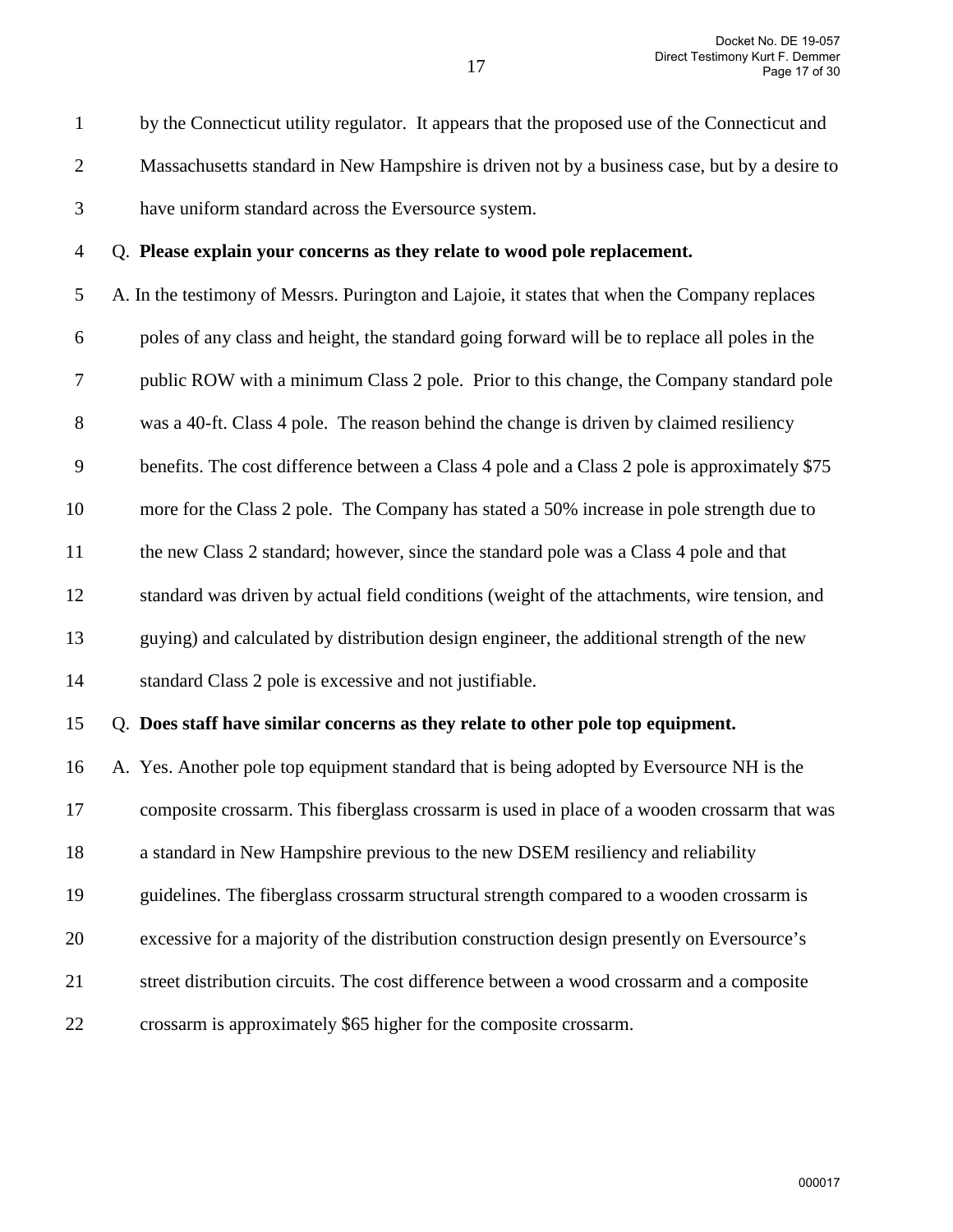1 by the Connecticut utility regulator. It appears that the proposed use of the Connecticut and

- 2 Massachusetts standard in New Hampshire is driven not by a business case, but by a desire to
- 3 have uniform standard across the Eversource system.

## 4 Q. **Please explain your concerns as they relate to wood pole replacement.**

5 A. In the testimony of Messrs. Purington and Lajoie, it states that when the Company replaces 6 poles of any class and height, the standard going forward will be to replace all poles in the 7 public ROW with a minimum Class 2 pole. Prior to this change, the Company standard pole 8 was a 40-ft. Class 4 pole. The reason behind the change is driven by claimed resiliency 9 benefits. The cost difference between a Class 4 pole and a Class 2 pole is approximately \$75 10 more for the Class 2 pole. The Company has stated a 50% increase in pole strength due to 11 the new Class 2 standard; however, since the standard pole was a Class 4 pole and that 12 standard was driven by actual field conditions (weight of the attachments, wire tension, and 13 guying) and calculated by distribution design engineer, the additional strength of the new 14 standard Class 2 pole is excessive and not justifiable.

15 Q. **Does staff have similar concerns as they relate to other pole top equipment.** 

16 A.Yes. Another pole top equipment standard that is being adopted by Eversource NH is the 17 composite crossarm. This fiberglass crossarm is used in place of a wooden crossarm that was 18 a standard in New Hampshire previous to the new DSEM resiliency and reliability 19 guidelines. The fiberglass crossarm structural strength compared to a wooden crossarm is 20 excessive for a majority of the distribution construction design presently on Eversource's 21 street distribution circuits. The cost difference between a wood crossarm and a composite 22 crossarm is approximately \$65 higher for the composite crossarm.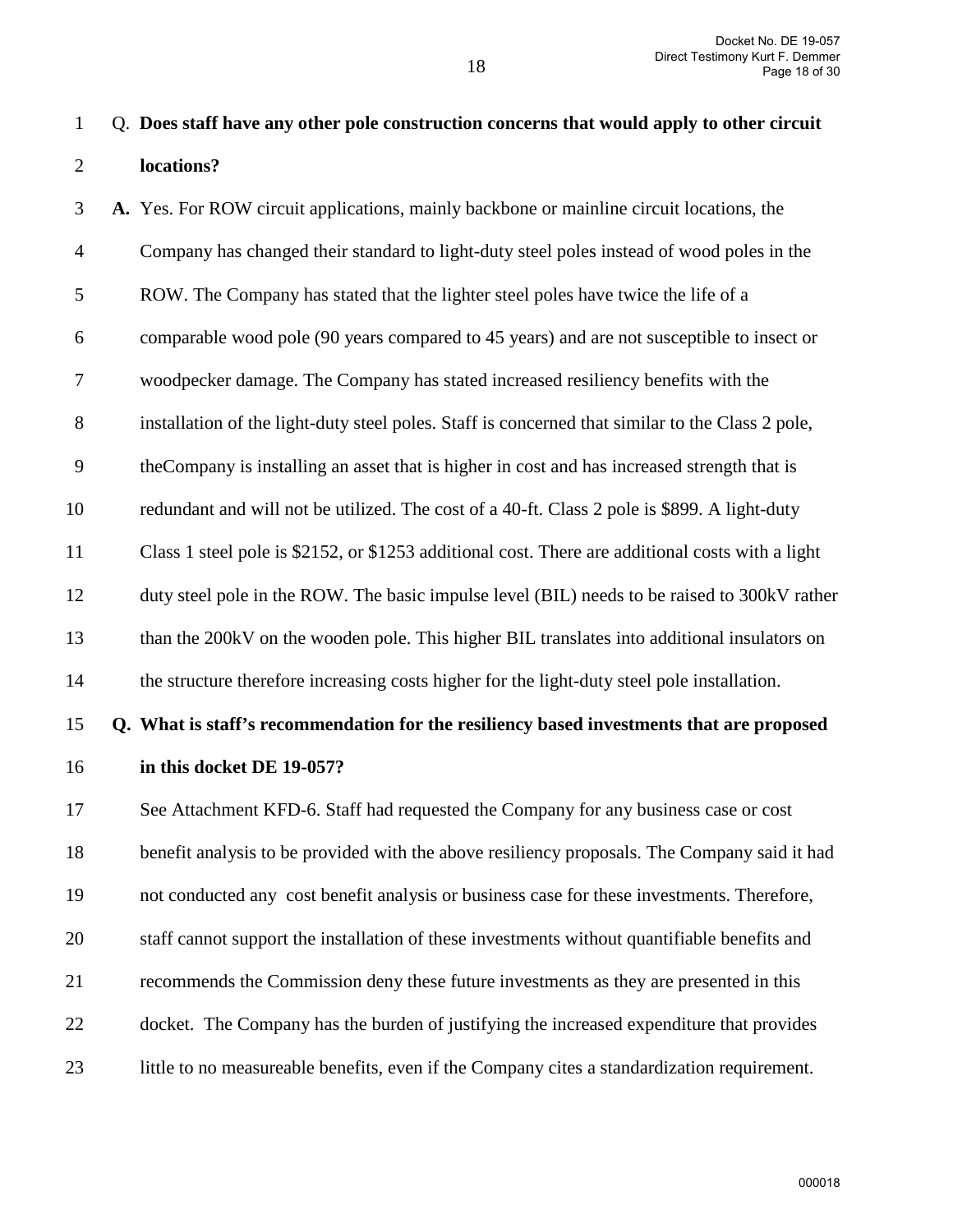3 **A.** Yes. For ROW circuit applications, mainly backbone or mainline circuit locations, the 4 Company has changed their standard to light-duty steel poles instead of wood poles in the 5 ROW. The Company has stated that the lighter steel poles have twice the life of a 6 comparable wood pole (90 years compared to 45 years) and are not susceptible to insect or 7 woodpecker damage. The Company has stated increased resiliency benefits with the 8 installation of the light-duty steel poles. Staff is concerned that similar to the Class 2 pole, 9 theCompany is installing an asset that is higher in cost and has increased strength that is 10 redundant and will not be utilized. The cost of a 40-ft. Class 2 pole is \$899. A light-duty 11 Class 1 steel pole is \$2152, or \$1253 additional cost. There are additional costs with a light 12 duty steel pole in the ROW. The basic impulse level (BIL) needs to be raised to 300kV rather 13 than the 200kV on the wooden pole. This higher BIL translates into additional insulators on 14 the structure therefore increasing costs higher for the light-duty steel pole installation. 15 **Q. What is staff's recommendation for the resiliency based investments that are proposed**  16 **in this docket DE 19-057?**  17 See Attachment KFD-6. Staff had requested the Company for any business case or cost 18 benefit analysis to be provided with the above resiliency proposals. The Company said it had 19 not conducted any cost benefit analysis or business case for these investments. Therefore, 20 staff cannot support the installation of these investments without quantifiable benefits and 21 recommends the Commission deny these future investments as they are presented in this

- 22 docket. The Company has the burden of justifying the increased expenditure that provides
- 23 little to no measureable benefits, even if the Company cites a standardization requirement.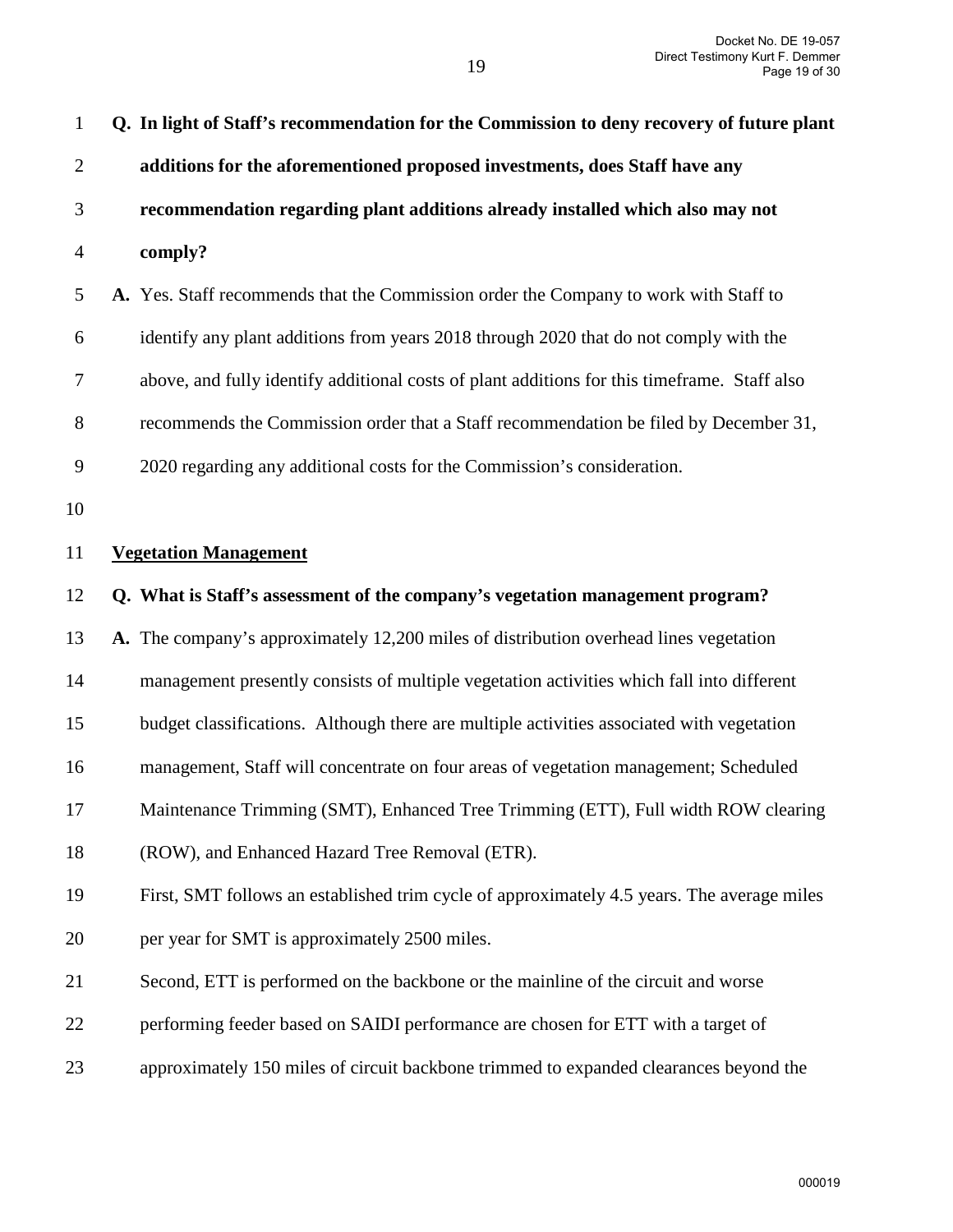| $\mathbf{1}$   | Q. In light of Staff's recommendation for the Commission to deny recovery of future plant    |
|----------------|----------------------------------------------------------------------------------------------|
| $\overline{2}$ | additions for the aforementioned proposed investments, does Staff have any                   |
| 3              | recommendation regarding plant additions already installed which also may not                |
| $\overline{4}$ | comply?                                                                                      |
| 5              | A. Yes. Staff recommends that the Commission order the Company to work with Staff to         |
| 6              | identify any plant additions from years 2018 through 2020 that do not comply with the        |
| $\tau$         | above, and fully identify additional costs of plant additions for this timeframe. Staff also |
| 8              | recommends the Commission order that a Staff recommendation be filed by December 31,         |
| 9              | 2020 regarding any additional costs for the Commission's consideration.                      |
| 10             |                                                                                              |
| 11             | <b>Vegetation Management</b>                                                                 |
| 12             | Q. What is Staff's assessment of the company's vegetation management program?                |
| 13             | A. The company's approximately 12,200 miles of distribution overhead lines vegetation        |
| 14             | management presently consists of multiple vegetation activities which fall into different    |
| 15             | budget classifications. Although there are multiple activities associated with vegetation    |
| 16             | management, Staff will concentrate on four areas of vegetation management; Scheduled         |
| 17             | Maintenance Trimming (SMT), Enhanced Tree Trimming (ETT), Full width ROW clearing            |
| 18             | (ROW), and Enhanced Hazard Tree Removal (ETR).                                               |
| 19             | First, SMT follows an established trim cycle of approximately 4.5 years. The average miles   |
| 20             | per year for SMT is approximately 2500 miles.                                                |
| 21             | Second, ETT is performed on the backbone or the mainline of the circuit and worse            |
| 22             | performing feeder based on SAIDI performance are chosen for ETT with a target of             |
| 23             | approximately 150 miles of circuit backbone trimmed to expanded clearances beyond the        |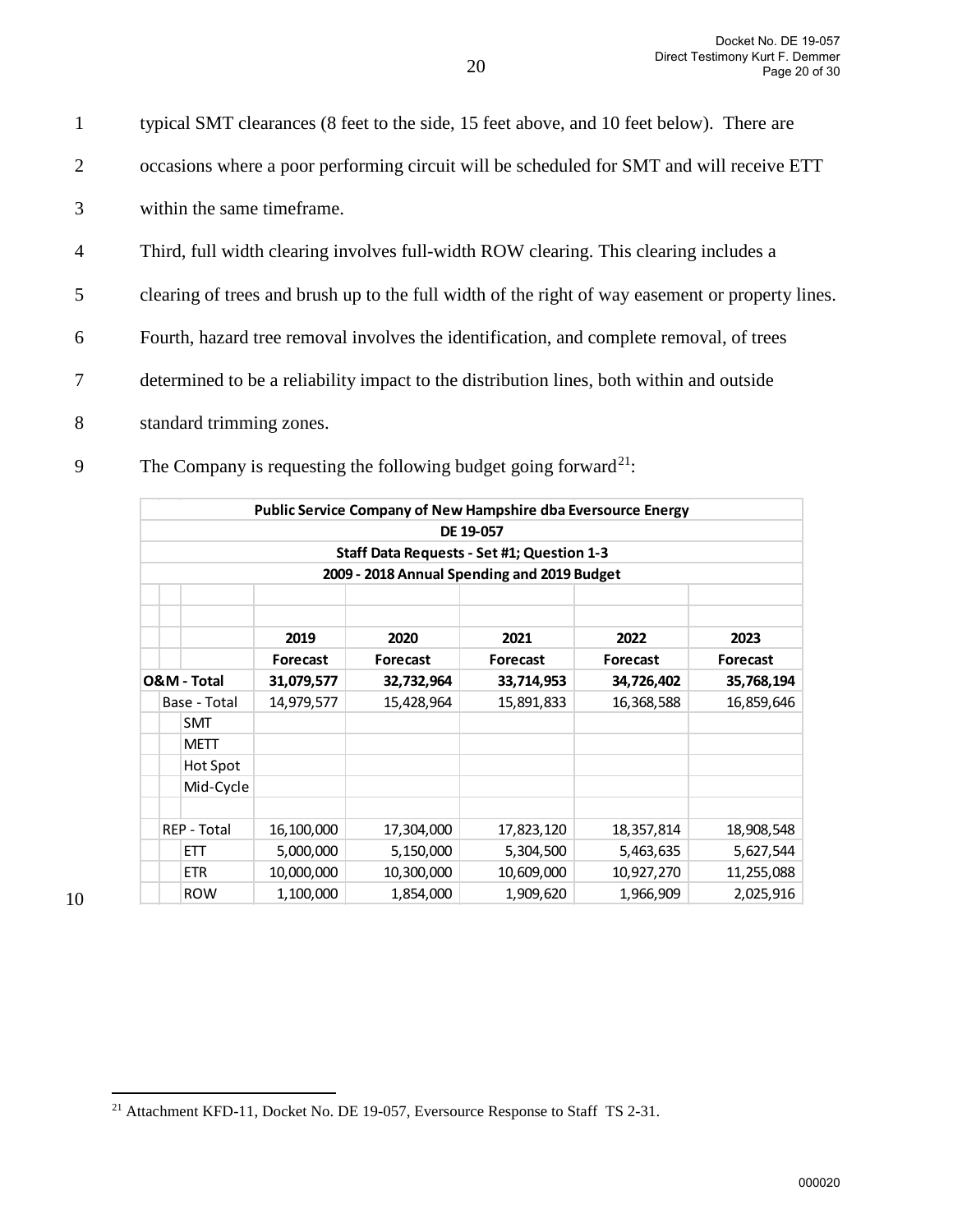2 occasions where a poor performing circuit will be scheduled for SMT and will receive ETT 3 within the same timeframe. 4 Third, full width clearing involves full-width ROW clearing. This clearing includes a 5 clearing of trees and brush up to the full width of the right of way easement or property lines. 6 Fourth, hazard tree removal involves the identification, and complete removal, of trees 7 determined to be a reliability impact to the distribution lines, both within and outside 8 standard trimming zones.

1 typical SMT clearances (8 feet to the side, 15 feet above, and 10 feet below). There are

|                    |                 |                 | Public Service Company of New Hampshire dba Eversource Energy<br>DE 19-057 |                 |                 |
|--------------------|-----------------|-----------------|----------------------------------------------------------------------------|-----------------|-----------------|
|                    |                 |                 |                                                                            |                 |                 |
|                    |                 |                 | Staff Data Requests - Set #1; Question 1-3                                 |                 |                 |
|                    |                 |                 | 2009 - 2018 Annual Spending and 2019 Budget                                |                 |                 |
|                    | 2019            | 2020            | 2021                                                                       | 2022            | 2023            |
|                    | <b>Forecast</b> | <b>Forecast</b> | <b>Forecast</b>                                                            | <b>Forecast</b> | <b>Forecast</b> |
| O&M - Total        | 31,079,577      | 32,732,964      | 33,714,953                                                                 | 34,726,402      | 35,768,194      |
| Base - Total       | 14,979,577      | 15,428,964      | 15,891,833                                                                 | 16,368,588      | 16,859,646      |
| <b>SMT</b>         |                 |                 |                                                                            |                 |                 |
| <b>METT</b>        |                 |                 |                                                                            |                 |                 |
| Hot Spot           |                 |                 |                                                                            |                 |                 |
| Mid-Cycle          |                 |                 |                                                                            |                 |                 |
| <b>REP - Total</b> | 16,100,000      | 17,304,000      | 17,823,120                                                                 | 18,357,814      | 18,908,548      |
| <b>FTT</b>         | 5,000,000       | 5,150,000       | 5,304,500                                                                  | 5,463,635       | 5,627,544       |
| <b>ETR</b>         | 10,000,000      | 10,300,000      | 10,609,000                                                                 | 10,927,270      | 11,255,088      |
| <b>ROW</b>         | 1,100,000       | 1,854,000       | 1,909,620                                                                  | 1,966,909       | 2,025,916       |

The Company is requesting the following budget going forward<sup>[21](#page-19-0)</sup>:

<span id="page-19-0"></span><sup>&</sup>lt;sup>21</sup> Attachment KFD-11, Docket No. DE 19-057, Eversource Response to Staff TS 2-31.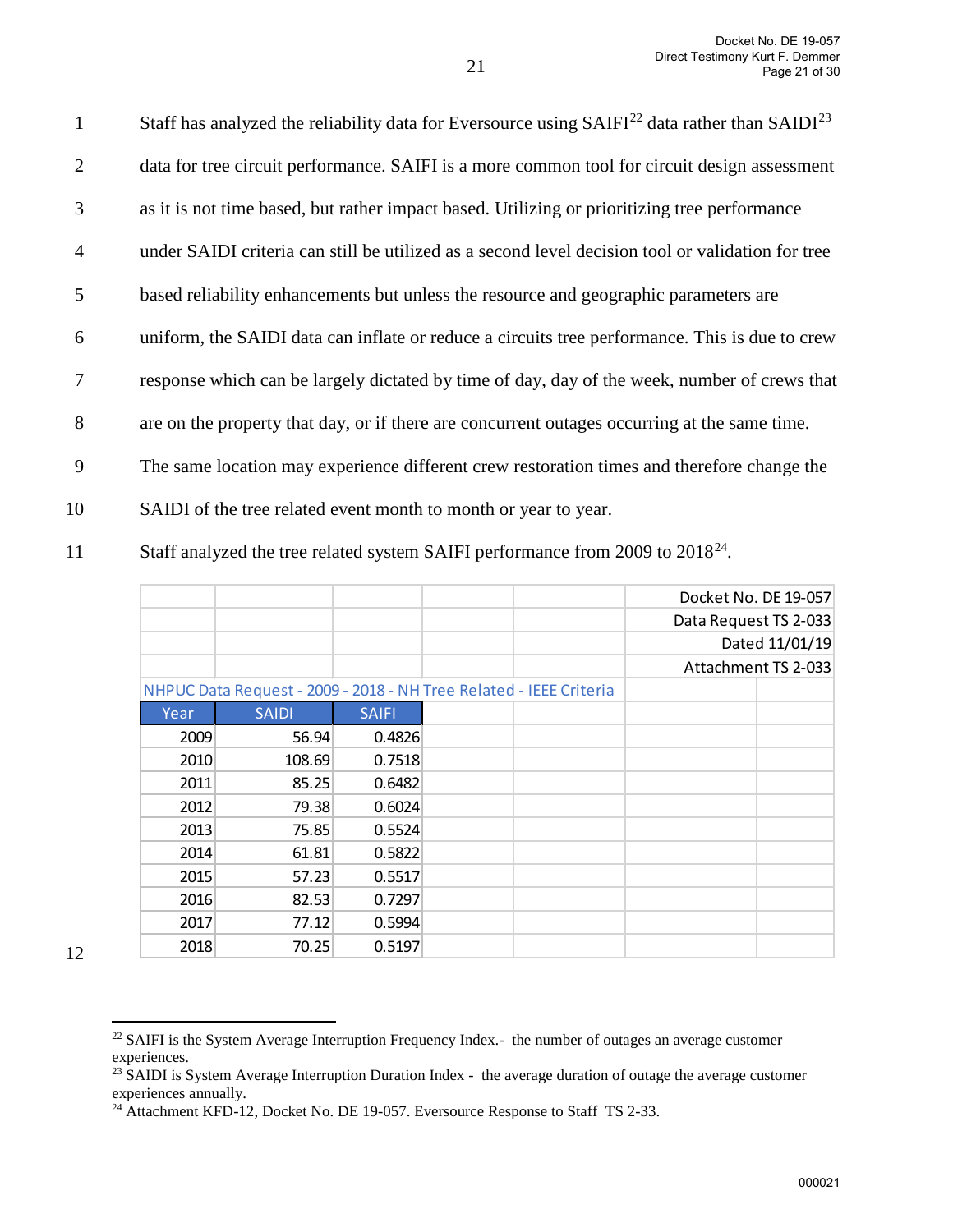Staff has analyzed the reliability data for Eversource using  $SAIFI<sup>22</sup>$  $SAIFI<sup>22</sup>$  $SAIFI<sup>22</sup>$  data rather than  $SAIDI<sup>23</sup>$  $SAIDI<sup>23</sup>$  $SAIDI<sup>23</sup>$ 2 data for tree circuit performance. SAIFI is a more common tool for circuit design assessment 3 as it is not time based, but rather impact based. Utilizing or prioritizing tree performance 4 under SAIDI criteria can still be utilized as a second level decision tool or validation for tree 5 based reliability enhancements but unless the resource and geographic parameters are 6 uniform, the SAIDI data can inflate or reduce a circuits tree performance. This is due to crew 7 response which can be largely dictated by time of day, day of the week, number of crews that 8 are on the property that day, or if there are concurrent outages occurring at the same time. 9 The same location may experience different crew restoration times and therefore change the

- 10 SAIDI of the tree related event month to month or year to year.
- 11 Staff analyzed the tree related system SAIFI performance from 2009 to 2018<sup>[24](#page-20-2)</sup>.

| Docket No. DE 19-057<br>Data Request TS 2-033<br>Dated 11/01/19<br>Attachment TS 2-033<br>NHPUC Data Request - 2009 - 2018 - NH Tree Related - IEEE Criteria<br><b>SAIFI</b><br>Year<br><b>SAIDI</b><br>2009<br>56.94<br>0.4826<br>108.69<br>2010<br>0.7518<br>2011<br>85.25<br>0.6482<br>2012<br>79.38<br>0.6024<br>2013<br>75.85<br>0.5524<br>0.5822<br>2014<br>61.81<br>2015<br>57.23<br>0.5517<br>2016<br>0.7297<br>82.53<br>2017<br>77.12<br>0.5994<br>2018<br>0.5197<br>70.25 |  |  |  |  |
|-------------------------------------------------------------------------------------------------------------------------------------------------------------------------------------------------------------------------------------------------------------------------------------------------------------------------------------------------------------------------------------------------------------------------------------------------------------------------------------|--|--|--|--|
|                                                                                                                                                                                                                                                                                                                                                                                                                                                                                     |  |  |  |  |
|                                                                                                                                                                                                                                                                                                                                                                                                                                                                                     |  |  |  |  |
|                                                                                                                                                                                                                                                                                                                                                                                                                                                                                     |  |  |  |  |
|                                                                                                                                                                                                                                                                                                                                                                                                                                                                                     |  |  |  |  |
|                                                                                                                                                                                                                                                                                                                                                                                                                                                                                     |  |  |  |  |
|                                                                                                                                                                                                                                                                                                                                                                                                                                                                                     |  |  |  |  |
|                                                                                                                                                                                                                                                                                                                                                                                                                                                                                     |  |  |  |  |
|                                                                                                                                                                                                                                                                                                                                                                                                                                                                                     |  |  |  |  |
|                                                                                                                                                                                                                                                                                                                                                                                                                                                                                     |  |  |  |  |
|                                                                                                                                                                                                                                                                                                                                                                                                                                                                                     |  |  |  |  |
|                                                                                                                                                                                                                                                                                                                                                                                                                                                                                     |  |  |  |  |
|                                                                                                                                                                                                                                                                                                                                                                                                                                                                                     |  |  |  |  |
|                                                                                                                                                                                                                                                                                                                                                                                                                                                                                     |  |  |  |  |
|                                                                                                                                                                                                                                                                                                                                                                                                                                                                                     |  |  |  |  |
|                                                                                                                                                                                                                                                                                                                                                                                                                                                                                     |  |  |  |  |
|                                                                                                                                                                                                                                                                                                                                                                                                                                                                                     |  |  |  |  |

<span id="page-20-0"></span><sup>&</sup>lt;sup>22</sup> SAIFI is the System Average Interruption Frequency Index.- the number of outages an average customer experiences.<br><sup>23</sup> SAIDI is System Average Interruption Duration Index - the average duration of outage the average customer

<span id="page-20-1"></span>experiences annually.

<span id="page-20-2"></span><sup>&</sup>lt;sup>24</sup> Attachment KFD-12, Docket No. DE 19-057. Eversource Response to Staff TS 2-33.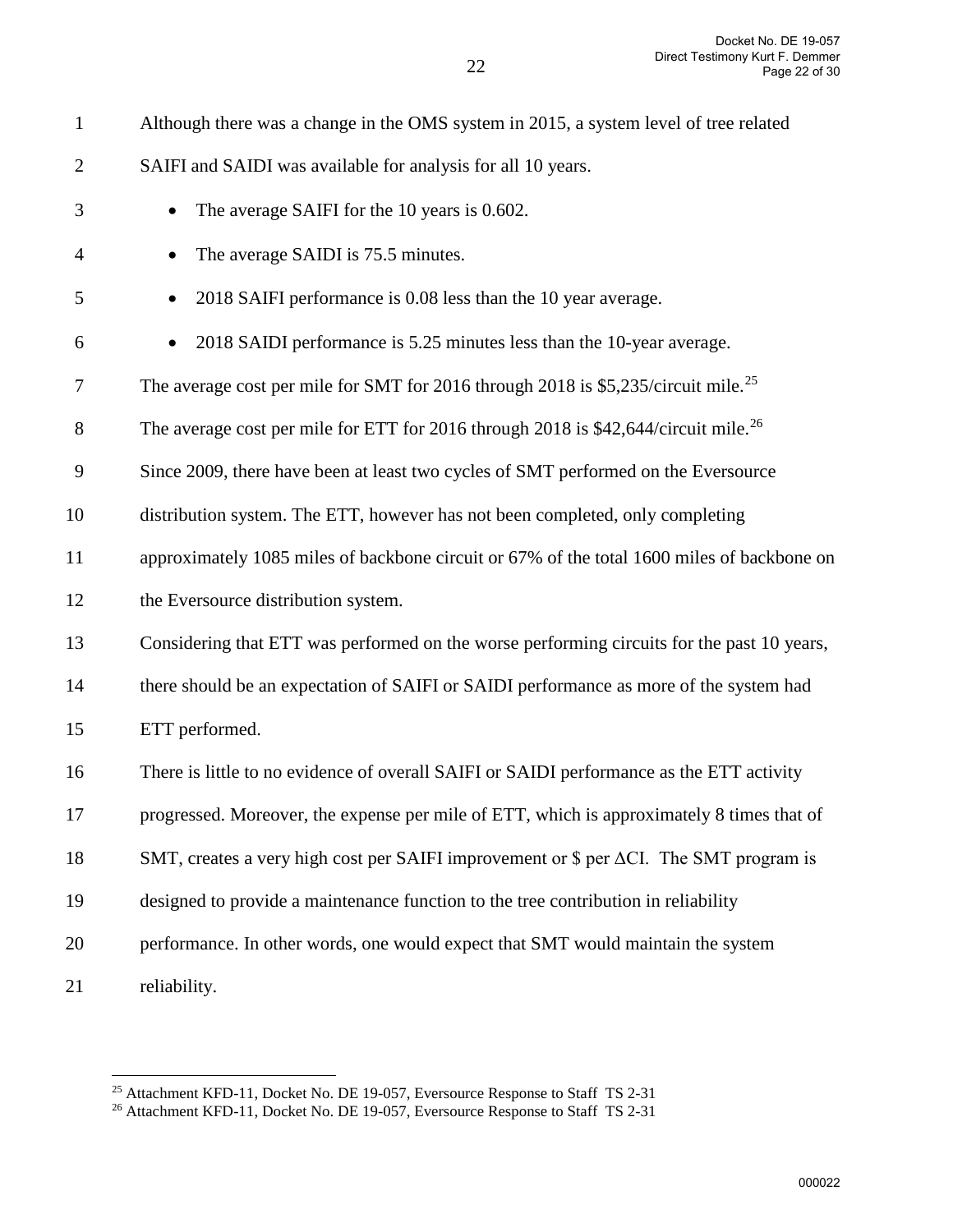| $\mathbf{1}$   | Although there was a change in the OMS system in 2015, a system level of tree related           |
|----------------|-------------------------------------------------------------------------------------------------|
| $\overline{2}$ | SAIFI and SAIDI was available for analysis for all 10 years.                                    |
| 3              | The average SAIFI for the 10 years is 0.602.<br>$\bullet$                                       |
| 4              | The average SAIDI is 75.5 minutes.<br>$\bullet$                                                 |
| 5              | 2018 SAIFI performance is 0.08 less than the 10 year average.<br>$\bullet$                      |
| 6              | 2018 SAIDI performance is 5.25 minutes less than the 10-year average.                           |
| 7              | The average cost per mile for SMT for 2016 through 2018 is \$5,235/circuit mile. <sup>25</sup>  |
| $8\,$          | The average cost per mile for ETT for 2016 through 2018 is \$42,644/circuit mile. <sup>26</sup> |
| 9              | Since 2009, there have been at least two cycles of SMT performed on the Eversource              |
| 10             | distribution system. The ETT, however has not been completed, only completing                   |
| 11             | approximately 1085 miles of backbone circuit or 67% of the total 1600 miles of backbone on      |
| 12             | the Eversource distribution system.                                                             |
| 13             | Considering that ETT was performed on the worse performing circuits for the past 10 years,      |
| 14             | there should be an expectation of SAIFI or SAIDI performance as more of the system had          |
| 15             | ETT performed.                                                                                  |
| 16             | There is little to no evidence of overall SAIFI or SAIDI performance as the ETT activity        |
| 17             | progressed. Moreover, the expense per mile of ETT, which is approximately 8 times that of       |
| 18             | SMT, creates a very high cost per SAIFI improvement or $\$ per $\Delta$ CI. The SMT program is  |
| 19             | designed to provide a maintenance function to the tree contribution in reliability              |
| 20             | performance. In other words, one would expect that SMT would maintain the system                |
| 21             | reliability.                                                                                    |

<span id="page-21-1"></span><span id="page-21-0"></span>

<sup>&</sup>lt;sup>25</sup> Attachment KFD-11, Docket No. DE 19-057, Eversource Response to Staff TS 2-31  $^{26}$  Attachment KFD-11, Docket No. DE 19-057, Eversource Response to Staff TS 2-31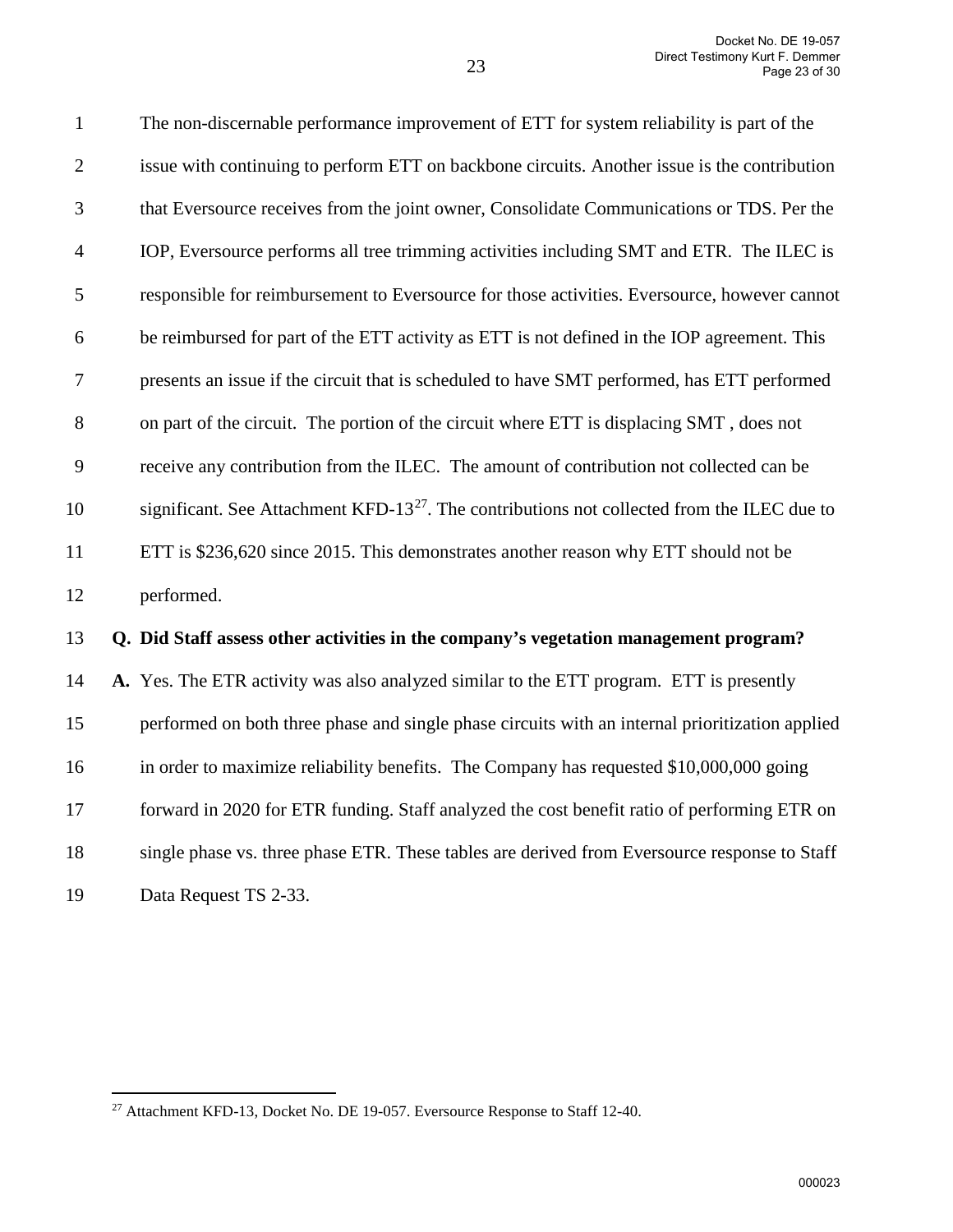| $\mathbf{1}$   | The non-discernable performance improvement of ETT for system reliability is part of the                |
|----------------|---------------------------------------------------------------------------------------------------------|
| $\overline{2}$ | issue with continuing to perform ETT on backbone circuits. Another issue is the contribution            |
| 3              | that Eversource receives from the joint owner, Consolidate Communications or TDS. Per the               |
| $\overline{4}$ | IOP, Eversource performs all tree trimming activities including SMT and ETR. The ILEC is                |
| 5              | responsible for reimbursement to Eversource for those activities. Eversource, however cannot            |
| 6              | be reimbursed for part of the ETT activity as ETT is not defined in the IOP agreement. This             |
| $\tau$         | presents an issue if the circuit that is scheduled to have SMT performed, has ETT performed             |
| 8              | on part of the circuit. The portion of the circuit where ETT is displacing SMT, does not                |
| 9              | receive any contribution from the ILEC. The amount of contribution not collected can be                 |
| 10             | significant. See Attachment KFD-13 <sup>27</sup> . The contributions not collected from the ILEC due to |
| 11             | ETT is \$236,620 since 2015. This demonstrates another reason why ETT should not be                     |
| 12             | performed.                                                                                              |
| 13             | Q. Did Staff assess other activities in the company's vegetation management program?                    |
| 14             | A. Yes. The ETR activity was also analyzed similar to the ETT program. ETT is presently                 |
| 15             | performed on both three phase and single phase circuits with an internal prioritization applied         |
| 16             | in order to maximize reliability benefits. The Company has requested \$10,000,000 going                 |
| 17             | forward in 2020 for ETR funding. Staff analyzed the cost benefit ratio of performing ETR on             |
| 18             | single phase vs. three phase ETR. These tables are derived from Eversource response to Staff            |
| 19             | Data Request TS 2-33.                                                                                   |

<span id="page-22-0"></span> $^{27}$  Attachment KFD-13, Docket No. DE 19-057. Eversource Response to Staff 12-40.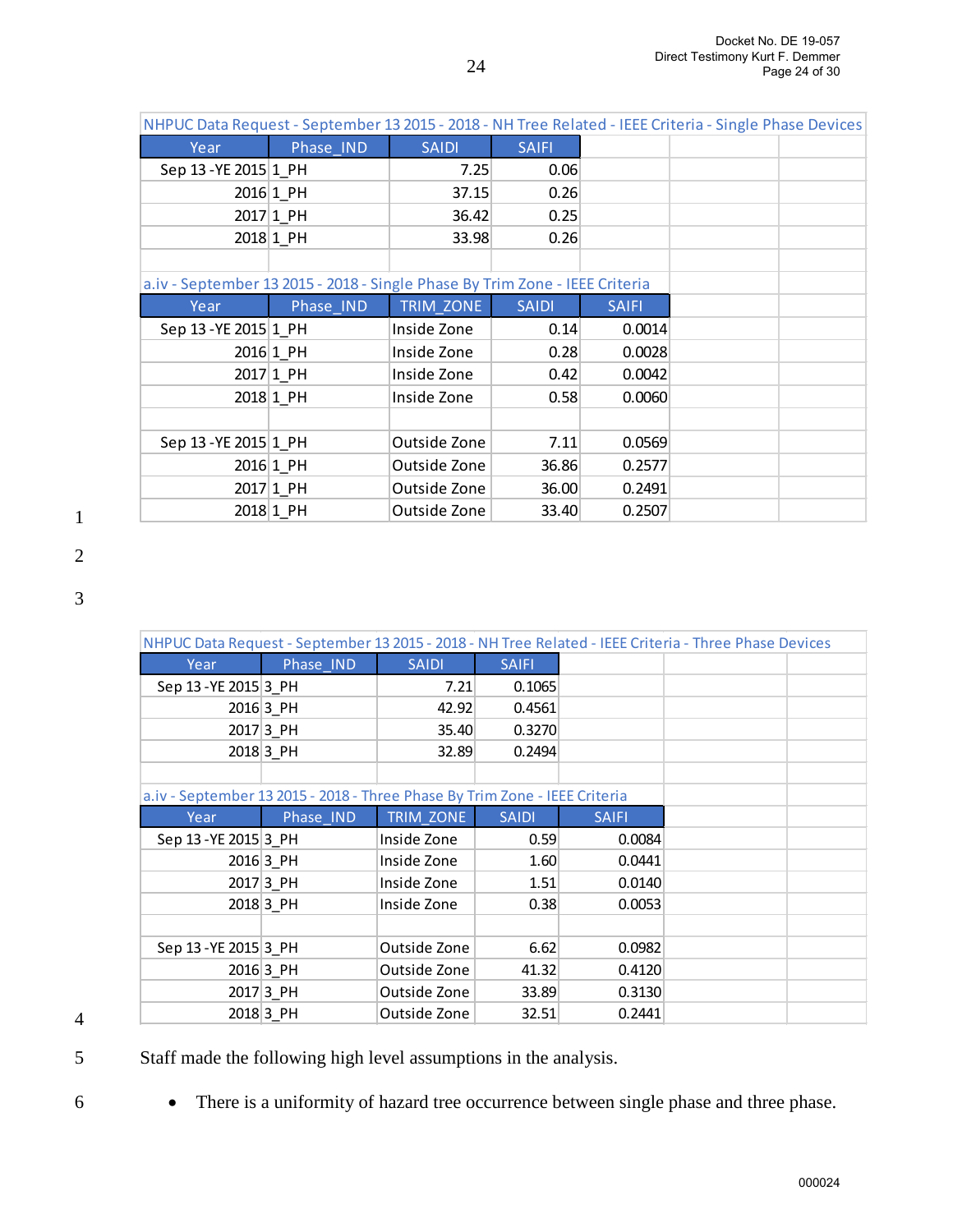| NHPUC Data Request - September 13 2015 - 2018 - NH Tree Related - IEEE Criteria - Single Phase Devices |           |              |              |              |  |  |
|--------------------------------------------------------------------------------------------------------|-----------|--------------|--------------|--------------|--|--|
| Year                                                                                                   | Phase IND | <b>SAIDI</b> | <b>SAIFI</b> |              |  |  |
| Sep 13 - YE 2015 1 PH                                                                                  |           | 7.25         | 0.06         |              |  |  |
|                                                                                                        | 2016 1_PH | 37.15        | 0.26         |              |  |  |
|                                                                                                        | 2017 1_PH | 36.42        | 0.25         |              |  |  |
|                                                                                                        | 2018 1 PH | 33.98        | 0.26         |              |  |  |
|                                                                                                        |           |              |              |              |  |  |
| a.iv - September 13 2015 - 2018 - Single Phase By Trim Zone - IEEE Criteria                            |           |              |              |              |  |  |
| Year                                                                                                   | Phase_IND | TRIM ZONE    | <b>SAIDI</b> | <b>SAIFI</b> |  |  |
|                                                                                                        |           |              |              |              |  |  |
| Sep 13 - YE 2015 1 PH                                                                                  |           | Inside Zone  | 0.14         | 0.0014       |  |  |
|                                                                                                        | 2016 1 PH | Inside Zone  | 0.28         | 0.0028       |  |  |
|                                                                                                        | 2017 1 PH | Inside Zone  | 0.42         | 0.0042       |  |  |
|                                                                                                        | 2018 1 PH | Inside Zone  | 0.58         | 0.0060       |  |  |
|                                                                                                        |           |              |              |              |  |  |
| Sep 13 - YE 2015 1 PH                                                                                  |           | Outside Zone | 7.11         | 0.0569       |  |  |
|                                                                                                        | 2016 1_PH | Outside Zone | 36.86        | 0.2577       |  |  |
|                                                                                                        | 2017 1_PH | Outside Zone | 36.00        | 0.2491       |  |  |

|                                                                            |             |              |              |              | NHPUC Data Request - September 13 2015 - 2018 - NH Tree Related - IEEE Criteria - Three Phase Devices |  |
|----------------------------------------------------------------------------|-------------|--------------|--------------|--------------|-------------------------------------------------------------------------------------------------------|--|
| Year                                                                       | Phase_IND   | <b>SAIDI</b> | <b>SAIFI</b> |              |                                                                                                       |  |
| Sep 13 - YE 2015 3 PH                                                      |             | 7.21         | 0.1065       |              |                                                                                                       |  |
|                                                                            | 2016 3_PH   | 42.92        | 0.4561       |              |                                                                                                       |  |
|                                                                            | 2017 3 PH   | 35.40        | 0.3270       |              |                                                                                                       |  |
|                                                                            | 2018 3 PH   | 32.89        | 0.2494       |              |                                                                                                       |  |
|                                                                            |             |              |              |              |                                                                                                       |  |
| a.iv - September 13 2015 - 2018 - Three Phase By Trim Zone - IEEE Criteria |             |              |              |              |                                                                                                       |  |
| Year                                                                       | Phase IND   | TRIM ZONE    | <b>SAIDI</b> | <b>SAIFI</b> |                                                                                                       |  |
| Sep 13 - YE 2015 3 PH                                                      |             | Inside Zone  | 0.59         | 0.0084       |                                                                                                       |  |
|                                                                            | 2016 3_PH   | Inside Zone  | 1.60         | 0.0441       |                                                                                                       |  |
|                                                                            | 2017 3_PH   | Inside Zone  | 1.51         | 0.0140       |                                                                                                       |  |
|                                                                            | 2018 3 PH   | Inside Zone  | 0.38         | 0.0053       |                                                                                                       |  |
|                                                                            |             |              |              |              |                                                                                                       |  |
| Sep 13 - YE 2015 3_PH                                                      |             | Outside Zone | 6.62         | 0.0982       |                                                                                                       |  |
|                                                                            | $2016 3$ PH | Outside Zone | 41.32        | 0.4120       |                                                                                                       |  |
|                                                                            | 2017 3_PH   | Outside Zone | 33.89        | 0.3130       |                                                                                                       |  |
|                                                                            | 2018 3 PH   | Outside Zone | 32.51        | 0.2441       |                                                                                                       |  |

4

5 Staff made the following high level assumptions in the analysis.

6 • There is a uniformity of hazard tree occurrence between single phase and three phase.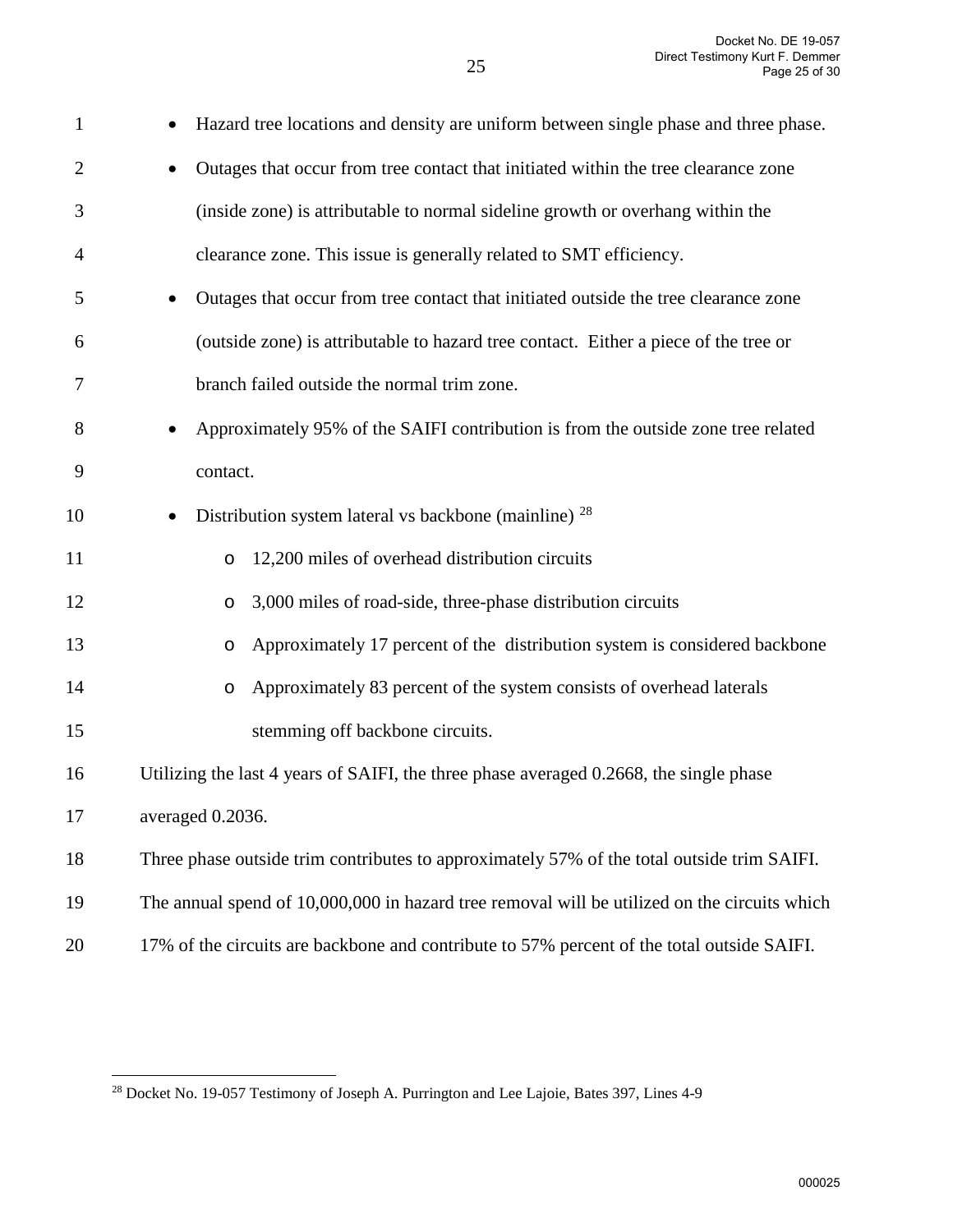| $\mathbf{1}$   | Hazard tree locations and density are uniform between single phase and three phase.              |
|----------------|--------------------------------------------------------------------------------------------------|
| $\overline{2}$ | Outages that occur from tree contact that initiated within the tree clearance zone<br>$\bullet$  |
| 3              | (inside zone) is attributable to normal sideline growth or overhang within the                   |
| 4              | clearance zone. This issue is generally related to SMT efficiency.                               |
| 5              | Outages that occur from tree contact that initiated outside the tree clearance zone<br>$\bullet$ |
| 6              | (outside zone) is attributable to hazard tree contact. Either a piece of the tree or             |
| $\tau$         | branch failed outside the normal trim zone.                                                      |
| 8              | Approximately 95% of the SAIFI contribution is from the outside zone tree related<br>$\bullet$   |
| 9              | contact.                                                                                         |
| 10             | Distribution system lateral vs backbone (mainline) $^{28}$<br>$\bullet$                          |
| 11             | 12,200 miles of overhead distribution circuits<br>$\circ$                                        |
| 12             | 3,000 miles of road-side, three-phase distribution circuits<br>O                                 |
| 13             | Approximately 17 percent of the distribution system is considered backbone<br>$\circ$            |
| 14             | Approximately 83 percent of the system consists of overhead laterals<br>$\circ$                  |
| 15             | stemming off backbone circuits.                                                                  |
| 16             | Utilizing the last 4 years of SAIFI, the three phase averaged 0.2668, the single phase           |
| 17             | averaged 0.2036.                                                                                 |
| 18             | Three phase outside trim contributes to approximately 57% of the total outside trim SAIFI.       |
| 19             | The annual spend of 10,000,000 in hazard tree removal will be utilized on the circuits which     |
| $20\,$         | 17% of the circuits are backbone and contribute to 57% percent of the total outside SAIFI.       |

<span id="page-24-0"></span> $\overline{a}$ <sup>28</sup> Docket No. 19-057 Testimony of Joseph A. Purrington and Lee Lajoie, Bates 397, Lines 4-9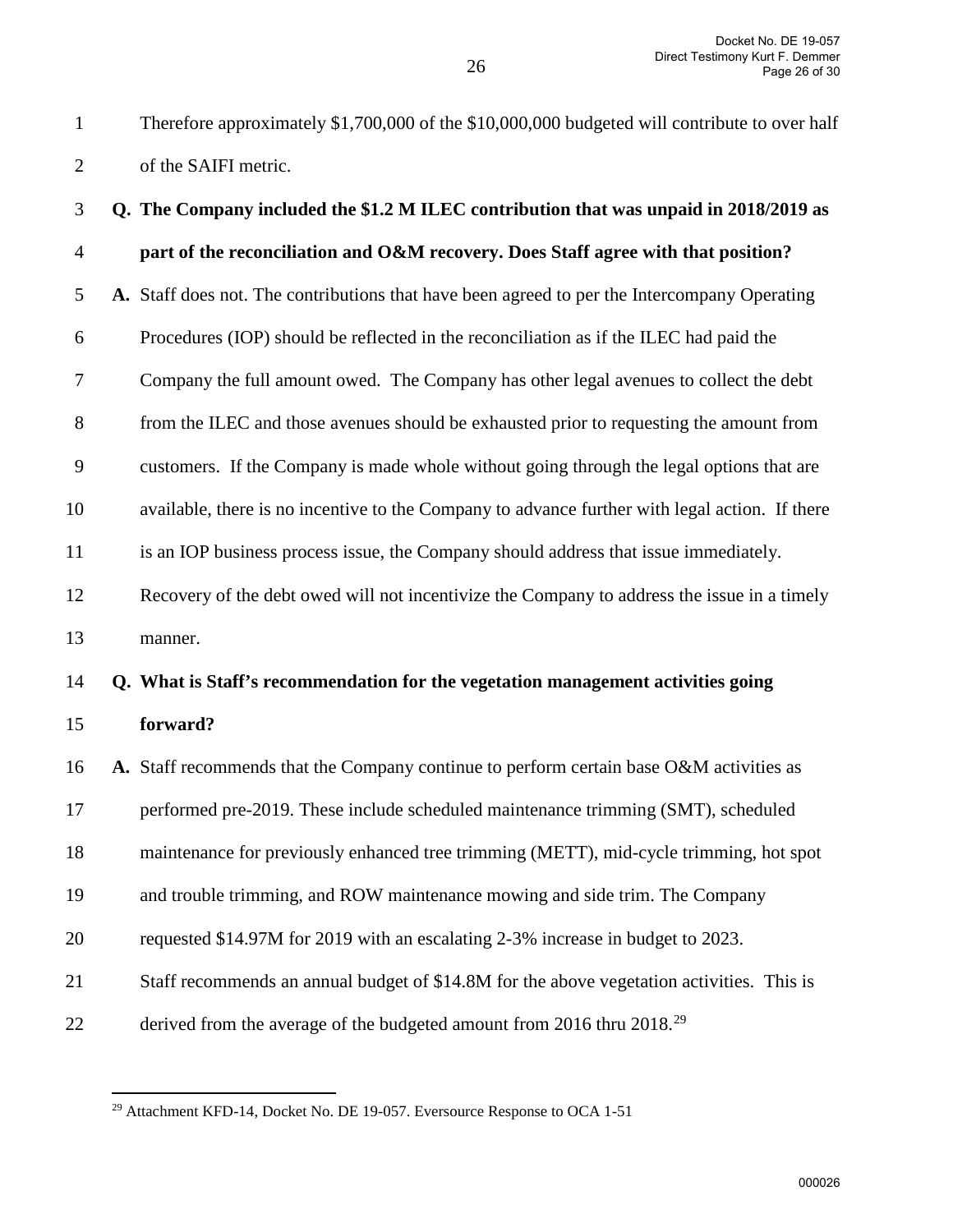1 Therefore approximately \$1,700,000 of the \$10,000,000 budgeted will contribute to over half 2 of the SAIFI metric. 3 **Q. The Company included the \$1.2 M ILEC contribution that was unpaid in 2018/2019 as**  4 **part of the reconciliation and O&M recovery. Does Staff agree with that position?** 

5 **A.** Staff does not. The contributions that have been agreed to per the Intercompany Operating

6 Procedures (IOP) should be reflected in the reconciliation as if the ILEC had paid the

7 Company the full amount owed. The Company has other legal avenues to collect the debt

8 from the ILEC and those avenues should be exhausted prior to requesting the amount from

9 customers. If the Company is made whole without going through the legal options that are

10 available, there is no incentive to the Company to advance further with legal action. If there

11 is an IOP business process issue, the Company should address that issue immediately.

12 Recovery of the debt owed will not incentivize the Company to address the issue in a timely 13 manner.

14 **Q. What is Staff's recommendation for the vegetation management activities going** 

15 **forward?**

 $\overline{a}$ 

16 **A.** Staff recommends that the Company continue to perform certain base O&M activities as

17 performed pre-2019. These include scheduled maintenance trimming (SMT), scheduled

18 maintenance for previously enhanced tree trimming (METT), mid-cycle trimming, hot spot

19 and trouble trimming, and ROW maintenance mowing and side trim. The Company

20 requested \$14.97M for 2019 with an escalating 2-3% increase in budget to 2023.

- 21 Staff recommends an annual budget of \$14.8M for the above vegetation activities. This is
- <span id="page-25-0"></span>22 derived from the average of the budgeted amount from 2016 thru 2018.<sup>[29](#page-25-0)</sup>

<sup>&</sup>lt;sup>29</sup> Attachment KFD-14, Docket No. DE 19-057. Eversource Response to OCA 1-51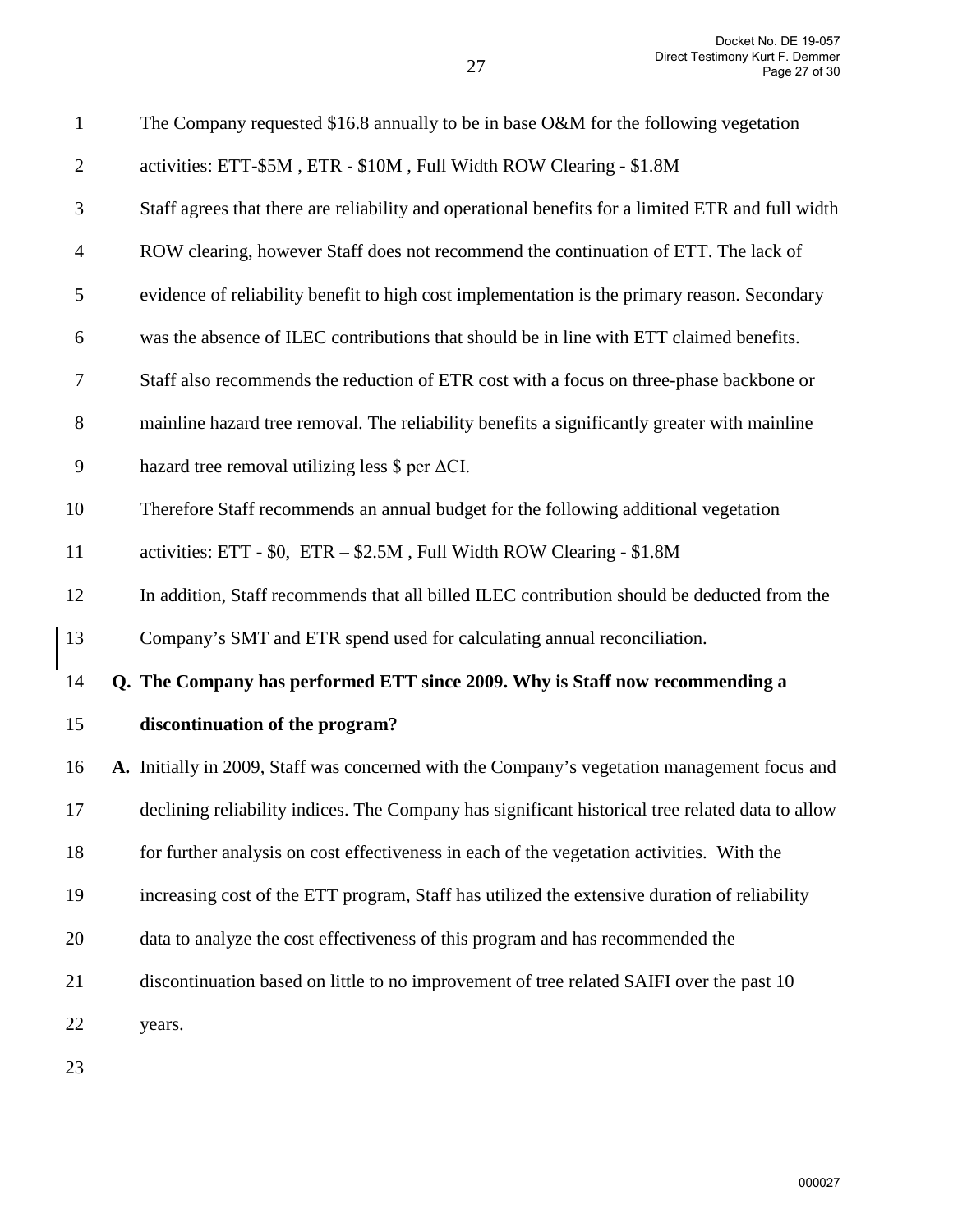| 1              | The Company requested \$16.8 annually to be in base O&M for the following vegetation              |
|----------------|---------------------------------------------------------------------------------------------------|
| $\overline{2}$ | activities: ETT-\$5M, ETR - \$10M, Full Width ROW Clearing - \$1.8M                               |
| 3              | Staff agrees that there are reliability and operational benefits for a limited ETR and full width |
| $\overline{4}$ | ROW clearing, however Staff does not recommend the continuation of ETT. The lack of               |
| 5              | evidence of reliability benefit to high cost implementation is the primary reason. Secondary      |
| 6              | was the absence of ILEC contributions that should be in line with ETT claimed benefits.           |
| 7              | Staff also recommends the reduction of ETR cost with a focus on three-phase backbone or           |
| $8\,$          | mainline hazard tree removal. The reliability benefits a significantly greater with mainline      |
| 9              | hazard tree removal utilizing less $\$ per $\Delta$ CI.                                           |
| 10             | Therefore Staff recommends an annual budget for the following additional vegetation               |
| 11             | activities: ETT - \$0, ETR - \$2.5M, Full Width ROW Clearing - \$1.8M                             |
| 12             | In addition, Staff recommends that all billed ILEC contribution should be deducted from the       |
| 13             | Company's SMT and ETR spend used for calculating annual reconciliation.                           |
| 14             | Q. The Company has performed ETT since 2009. Why is Staff now recommending a                      |
| 15             | discontinuation of the program?                                                                   |
| 16             | A. Initially in 2009, Staff was concerned with the Company's vegetation management focus and      |
| 17             | declining reliability indices. The Company has significant historical tree related data to allow  |
| 18             | for further analysis on cost effectiveness in each of the vegetation activities. With the         |
| 19             | increasing cost of the ETT program, Staff has utilized the extensive duration of reliability      |
| 20             | data to analyze the cost effectiveness of this program and has recommended the                    |
| 21             | discontinuation based on little to no improvement of tree related SAIFI over the past 10          |
| 22             | years.                                                                                            |
|                |                                                                                                   |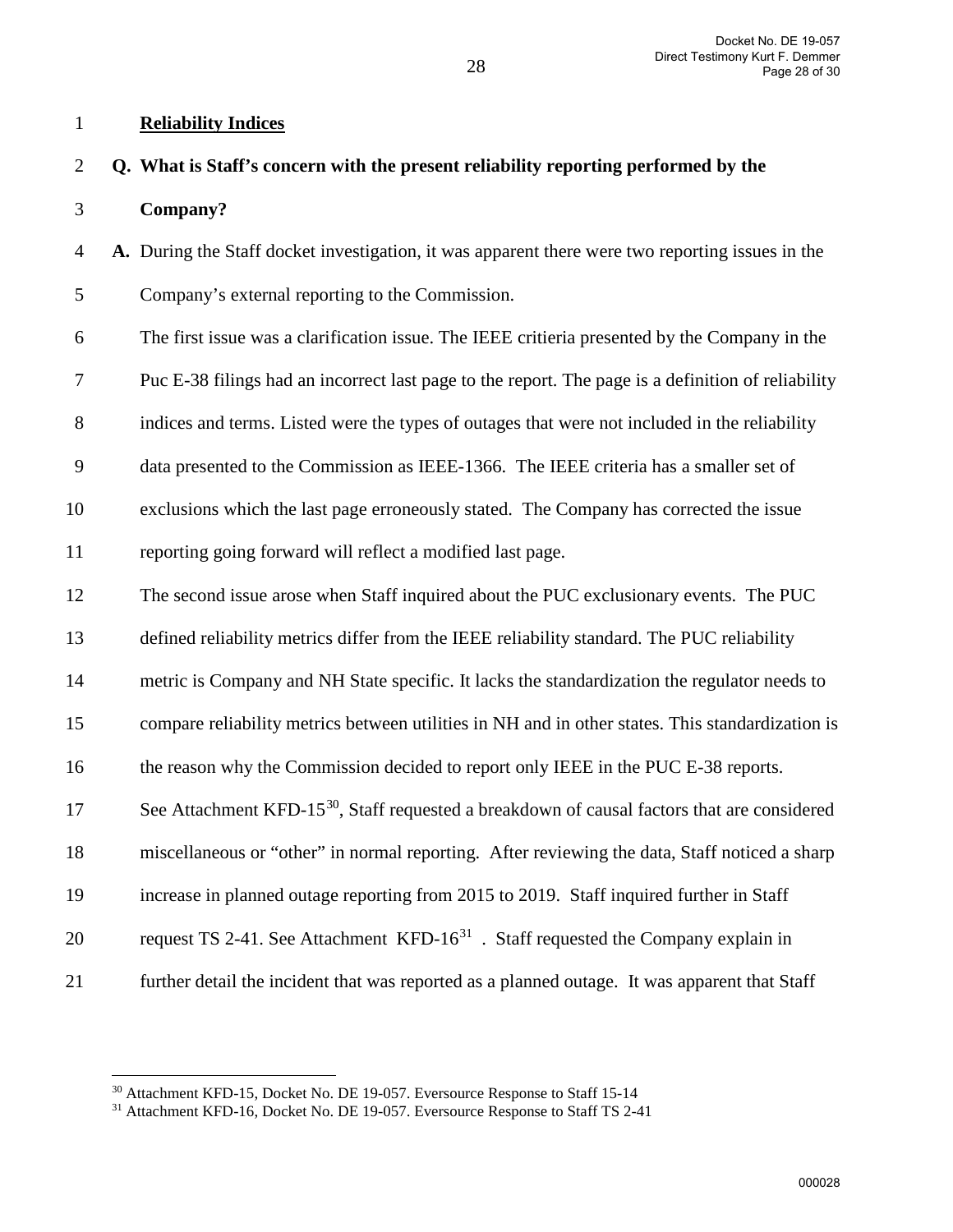## 1 **Reliability Indices**

## 2 **Q. What is Staff's concern with the present reliability reporting performed by the**

3 **Company?** 

 $\overline{a}$ 

4 **A.** During the Staff docket investigation, it was apparent there were two reporting issues in the

5 Company's external reporting to the Commission.

6 The first issue was a clarification issue. The IEEE critieria presented by the Company in the 7 Puc E-38 filings had an incorrect last page to the report. The page is a definition of reliability 8 indices and terms. Listed were the types of outages that were not included in the reliability 9 data presented to the Commission as IEEE-1366. The IEEE criteria has a smaller set of 10 exclusions which the last page erroneously stated. The Company has corrected the issue 11 reporting going forward will reflect a modified last page.

12 The second issue arose when Staff inquired about the PUC exclusionary events. The PUC

13 defined reliability metrics differ from the IEEE reliability standard. The PUC reliability

14 metric is Company and NH State specific. It lacks the standardization the regulator needs to

15 compare reliability metrics between utilities in NH and in other states. This standardization is

16 the reason why the Commission decided to report only IEEE in the PUC E-38 reports.

17 See Attachment KFD-15 $^{30}$  $^{30}$  $^{30}$ , Staff requested a breakdown of causal factors that are considered

18 miscellaneous or "other" in normal reporting. After reviewing the data, Staff noticed a sharp

- 19 increase in planned outage reporting from 2015 to 2019. Staff inquired further in Staff
- 20 request TS 2-41. See Attachment KFD- $16<sup>31</sup>$  $16<sup>31</sup>$  $16<sup>31</sup>$ . Staff requested the Company explain in
- 21 further detail the incident that was reported as a planned outage. It was apparent that Staff

<span id="page-27-0"></span><sup>&</sup>lt;sup>30</sup> Attachment KFD-15, Docket No. DE 19-057. Eversource Response to Staff 15-14

<span id="page-27-1"></span><sup>&</sup>lt;sup>31</sup> Attachment KFD-16, Docket No. DE 19-057. Eversource Response to Staff TS 2-41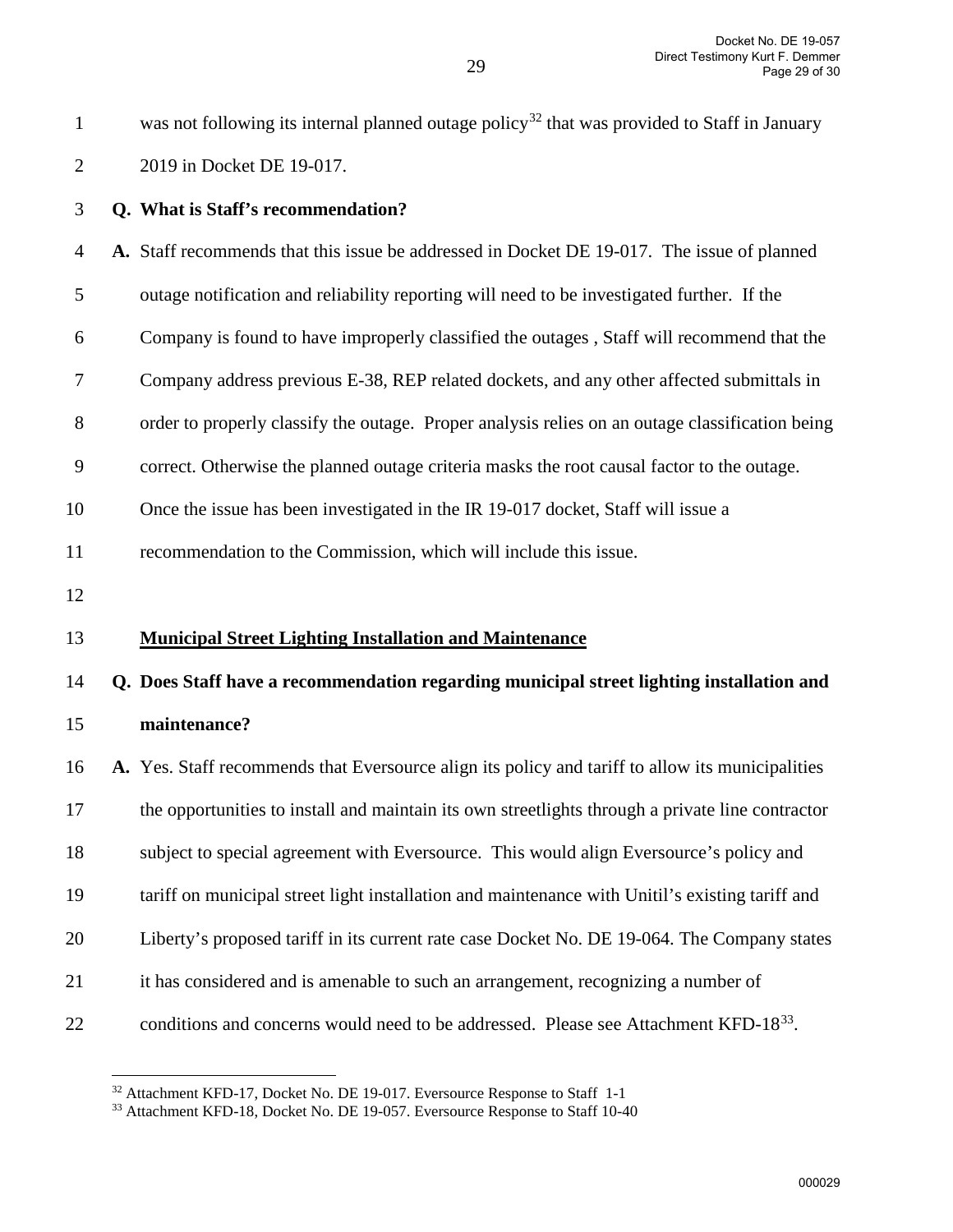was not following its internal planned outage policy<sup>[32](#page-28-0)</sup> that was provided to Staff in January

| $\mathbf{2}$   | 2019 in Docket DE 19-017.                                                                        |
|----------------|--------------------------------------------------------------------------------------------------|
| 3              | Q. What is Staff's recommendation?                                                               |
| $\overline{4}$ | A. Staff recommends that this issue be addressed in Docket DE 19-017. The issue of planned       |
| 5              | outage notification and reliability reporting will need to be investigated further. If the       |
| 6              | Company is found to have improperly classified the outages, Staff will recommend that the        |
| $\tau$         | Company address previous E-38, REP related dockets, and any other affected submittals in         |
| $8\,$          | order to properly classify the outage. Proper analysis relies on an outage classification being  |
| 9              | correct. Otherwise the planned outage criteria masks the root causal factor to the outage.       |
| 10             | Once the issue has been investigated in the IR 19-017 docket, Staff will issue a                 |
| 11             | recommendation to the Commission, which will include this issue.                                 |
| 12             |                                                                                                  |
| 13             | <b>Municipal Street Lighting Installation and Maintenance</b>                                    |
| 14             | Q. Does Staff have a recommendation regarding municipal street lighting installation and         |
| 15             | maintenance?                                                                                     |
| 16             | A. Yes. Staff recommends that Eversource align its policy and tariff to allow its municipalities |
| 17             | the opportunities to install and maintain its own streetlights through a private line contractor |
| 18             | subject to special agreement with Eversource. This would align Eversource's policy and           |
| 19             | tariff on municipal street light installation and maintenance with Unitil's existing tariff and  |
| 20             | Liberty's proposed tariff in its current rate case Docket No. DE 19-064. The Company states      |
| 21             | it has considered and is amenable to such an arrangement, recognizing a number of                |

<span id="page-28-1"></span><span id="page-28-0"></span>22 conditions and concerns would need to be addressed. Please see Attachment KFD-18<sup>[33](#page-28-1)</sup>.

 $32$  Attachment KFD-17, Docket No. DE 19-017. Eversource Response to Staff 1-1  $33$  Attachment KFD-18, Docket No. DE 19-057. Eversource Response to Staff 10-40